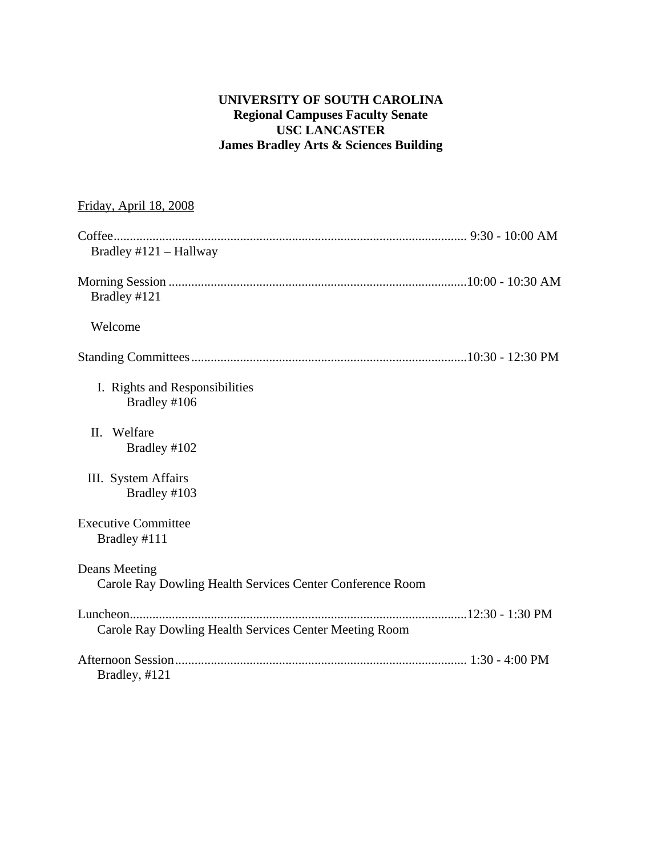#### **UNIVERSITY OF SOUTH CAROLINA Regional Campuses Faculty Senate USC LANCASTER James Bradley Arts & Sciences Building**

| Friday, April 18, 2008                                                     |  |
|----------------------------------------------------------------------------|--|
| Bradley $#121 - Hallway$                                                   |  |
| Bradley #121                                                               |  |
| Welcome                                                                    |  |
|                                                                            |  |
| I. Rights and Responsibilities<br>Bradley #106                             |  |
| Welfare<br>II.<br>Bradley #102                                             |  |
| III. System Affairs<br>Bradley #103                                        |  |
| <b>Executive Committee</b><br>Bradley #111                                 |  |
| Deans Meeting<br>Carole Ray Dowling Health Services Center Conference Room |  |
| Carole Ray Dowling Health Services Center Meeting Room                     |  |
| Bradley, #121                                                              |  |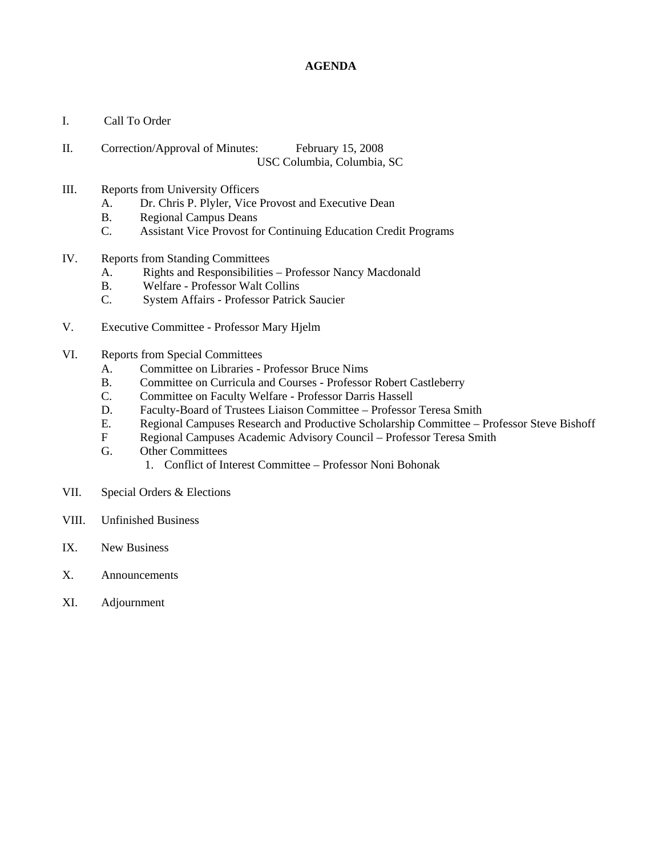#### **AGENDA**

- I. Call To Order
- II. Correction/Approval of Minutes: February 15, 2008 USC Columbia, Columbia, SC
- III. Reports from University Officers
	- A. Dr. Chris P. Plyler, Vice Provost and Executive Dean
	- B. Regional Campus Deans
	- C. Assistant Vice Provost for Continuing Education Credit Programs
- IV. Reports from Standing Committees
	- A. Rights and Responsibilities Professor Nancy Macdonald
	- B. Welfare Professor Walt Collins
	- C. System Affairs Professor Patrick Saucier
- V. Executive Committee Professor Mary Hjelm
- VI. Reports from Special Committees
	- A. Committee on Libraries Professor Bruce Nims
	- B. Committee on Curricula and Courses Professor Robert Castleberry
	- C. Committee on Faculty Welfare Professor Darris Hassell
	- D. Faculty-Board of Trustees Liaison Committee Professor Teresa Smith
	- E. Regional Campuses Research and Productive Scholarship Committee Professor Steve Bishoff
	- F Regional Campuses Academic Advisory Council Professor Teresa Smith
	- G. Other Committees
		- 1. Conflict of Interest Committee Professor Noni Bohonak
- VII. Special Orders & Elections
- VIII. Unfinished Business
- IX. New Business
- X. Announcements
- XI. Adjournment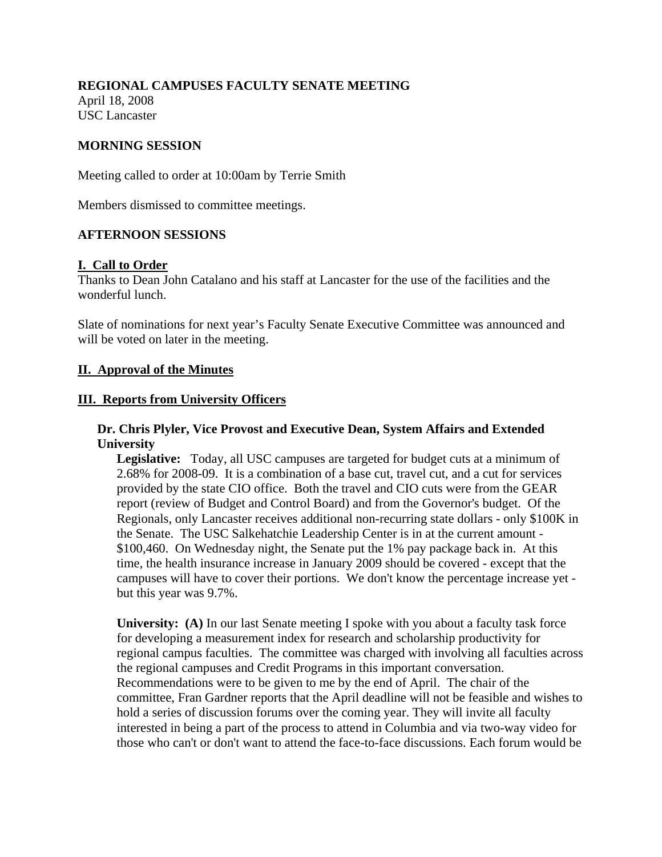#### **REGIONAL CAMPUSES FACULTY SENATE MEETING**

April 18, 2008 USC Lancaster

#### **MORNING SESSION**

Meeting called to order at 10:00am by Terrie Smith

Members dismissed to committee meetings.

#### **AFTERNOON SESSIONS**

#### **I. Call to Order**

Thanks to Dean John Catalano and his staff at Lancaster for the use of the facilities and the wonderful lunch.

Slate of nominations for next year's Faculty Senate Executive Committee was announced and will be voted on later in the meeting.

#### **II. Approval of the Minutes**

#### **III. Reports from University Officers**

#### **Dr. Chris Plyler, Vice Provost and Executive Dean, System Affairs and Extended University**

**Legislative:** Today, all USC campuses are targeted for budget cuts at a minimum of 2.68% for 2008-09. It is a combination of a base cut, travel cut, and a cut for services provided by the state CIO office. Both the travel and CIO cuts were from the GEAR report (review of Budget and Control Board) and from the Governor's budget. Of the Regionals, only Lancaster receives additional non-recurring state dollars - only \$100K in the Senate. The USC Salkehatchie Leadership Center is in at the current amount - \$100,460. On Wednesday night, the Senate put the 1% pay package back in. At this time, the health insurance increase in January 2009 should be covered - except that the campuses will have to cover their portions. We don't know the percentage increase yet but this year was 9.7%.

**University:** (A) In our last Senate meeting I spoke with you about a faculty task force for developing a measurement index for research and scholarship productivity for regional campus faculties. The committee was charged with involving all faculties across the regional campuses and Credit Programs in this important conversation. Recommendations were to be given to me by the end of April. The chair of the committee, Fran Gardner reports that the April deadline will not be feasible and wishes to hold a series of discussion forums over the coming year. They will invite all faculty interested in being a part of the process to attend in Columbia and via two-way video for those who can't or don't want to attend the face-to-face discussions. Each forum would be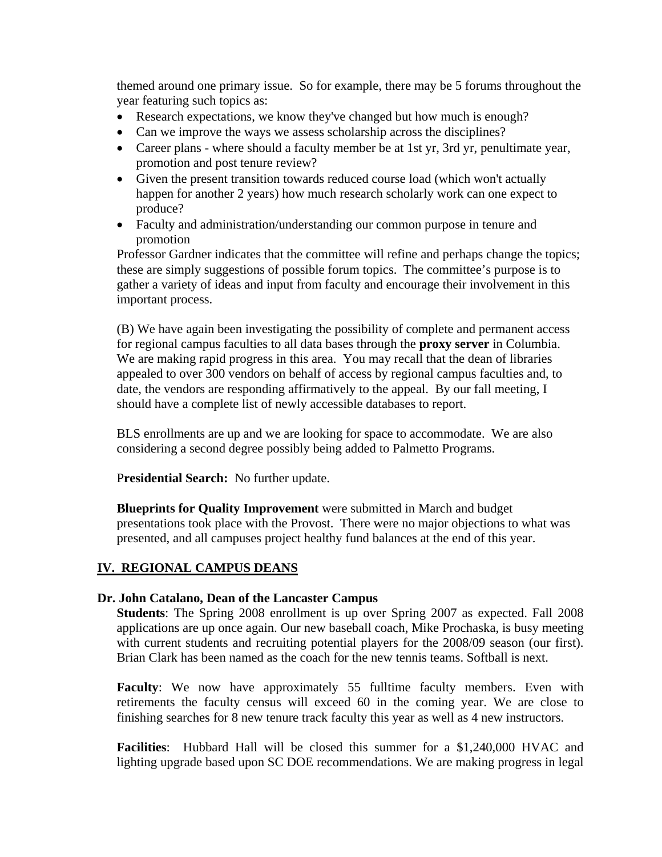themed around one primary issue. So for example, there may be 5 forums throughout the year featuring such topics as:

- Research expectations, we know they've changed but how much is enough?
- Can we improve the ways we assess scholarship across the disciplines?
- Career plans where should a faculty member be at 1st yr, 3rd yr, penultimate year, promotion and post tenure review?
- Given the present transition towards reduced course load (which won't actually happen for another 2 years) how much research scholarly work can one expect to produce?
- Faculty and administration/understanding our common purpose in tenure and promotion

Professor Gardner indicates that the committee will refine and perhaps change the topics; these are simply suggestions of possible forum topics. The committee's purpose is to gather a variety of ideas and input from faculty and encourage their involvement in this important process.

(B) We have again been investigating the possibility of complete and permanent access for regional campus faculties to all data bases through the **proxy server** in Columbia. We are making rapid progress in this area. You may recall that the dean of libraries appealed to over 300 vendors on behalf of access by regional campus faculties and, to date, the vendors are responding affirmatively to the appeal. By our fall meeting, I should have a complete list of newly accessible databases to report.

BLS enrollments are up and we are looking for space to accommodate. We are also considering a second degree possibly being added to Palmetto Programs.

P**residential Search:** No further update.

**Blueprints for Quality Improvement** were submitted in March and budget presentations took place with the Provost. There were no major objections to what was presented, and all campuses project healthy fund balances at the end of this year.

#### **IV. REGIONAL CAMPUS DEANS**

#### **Dr. John Catalano, Dean of the Lancaster Campus**

**Students**: The Spring 2008 enrollment is up over Spring 2007 as expected. Fall 2008 applications are up once again. Our new baseball coach, Mike Prochaska, is busy meeting with current students and recruiting potential players for the 2008/09 season (our first). Brian Clark has been named as the coach for the new tennis teams. Softball is next.

Faculty: We now have approximately 55 fulltime faculty members. Even with retirements the faculty census will exceed 60 in the coming year. We are close to finishing searches for 8 new tenure track faculty this year as well as 4 new instructors.

**Facilities**: Hubbard Hall will be closed this summer for a \$1,240,000 HVAC and lighting upgrade based upon SC DOE recommendations. We are making progress in legal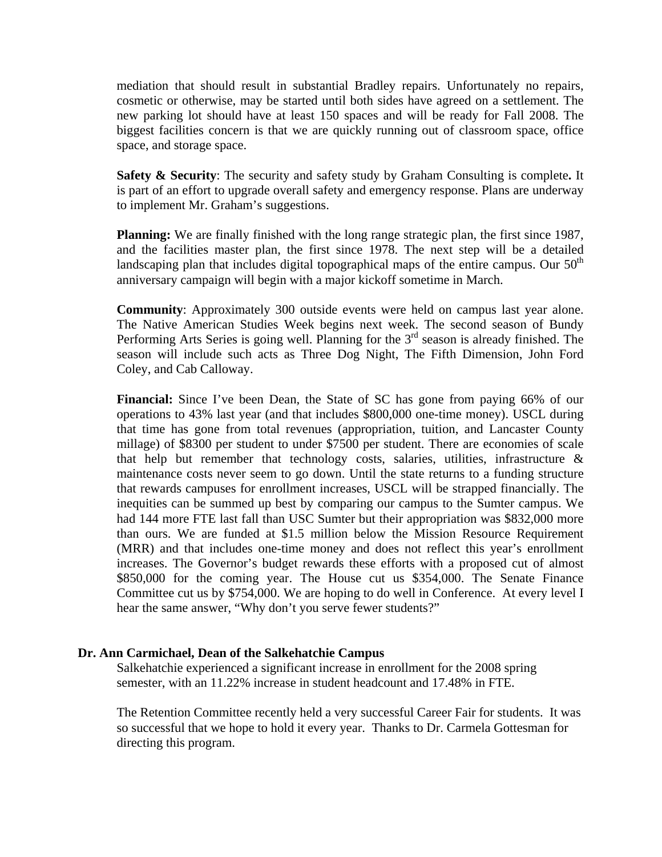mediation that should result in substantial Bradley repairs. Unfortunately no repairs, cosmetic or otherwise, may be started until both sides have agreed on a settlement. The new parking lot should have at least 150 spaces and will be ready for Fall 2008. The biggest facilities concern is that we are quickly running out of classroom space, office space, and storage space.

**Safety & Security**: The security and safety study by Graham Consulting is complete**.** It is part of an effort to upgrade overall safety and emergency response. Plans are underway to implement Mr. Graham's suggestions.

**Planning:** We are finally finished with the long range strategic plan, the first since 1987, and the facilities master plan, the first since 1978. The next step will be a detailed landscaping plan that includes digital topographical maps of the entire campus. Our  $50<sup>th</sup>$ anniversary campaign will begin with a major kickoff sometime in March.

**Community**: Approximately 300 outside events were held on campus last year alone. The Native American Studies Week begins next week. The second season of Bundy Performing Arts Series is going well. Planning for the  $3<sup>rd</sup>$  season is already finished. The season will include such acts as Three Dog Night, The Fifth Dimension, John Ford Coley, and Cab Calloway.

Financial: Since I've been Dean, the State of SC has gone from paying 66% of our operations to 43% last year (and that includes \$800,000 one-time money). USCL during that time has gone from total revenues (appropriation, tuition, and Lancaster County millage) of \$8300 per student to under \$7500 per student. There are economies of scale that help but remember that technology costs, salaries, utilities, infrastructure  $\&$ maintenance costs never seem to go down. Until the state returns to a funding structure that rewards campuses for enrollment increases, USCL will be strapped financially. The inequities can be summed up best by comparing our campus to the Sumter campus. We had 144 more FTE last fall than USC Sumter but their appropriation was \$832,000 more than ours. We are funded at \$1.5 million below the Mission Resource Requirement (MRR) and that includes one-time money and does not reflect this year's enrollment increases. The Governor's budget rewards these efforts with a proposed cut of almost \$850,000 for the coming year. The House cut us \$354,000. The Senate Finance Committee cut us by \$754,000. We are hoping to do well in Conference. At every level I hear the same answer, "Why don't you serve fewer students?"

#### **Dr. Ann Carmichael, Dean of the Salkehatchie Campus**

Salkehatchie experienced a significant increase in enrollment for the 2008 spring semester, with an 11.22% increase in student headcount and 17.48% in FTE.

The Retention Committee recently held a very successful Career Fair for students. It was so successful that we hope to hold it every year. Thanks to Dr. Carmela Gottesman for directing this program.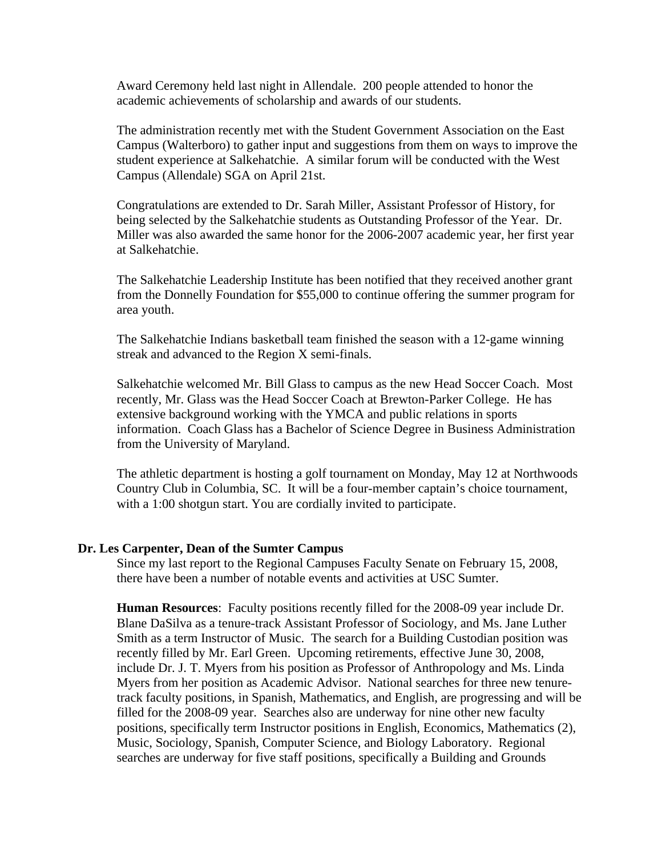Award Ceremony held last night in Allendale. 200 people attended to honor the academic achievements of scholarship and awards of our students.

The administration recently met with the Student Government Association on the East Campus (Walterboro) to gather input and suggestions from them on ways to improve the student experience at Salkehatchie. A similar forum will be conducted with the West Campus (Allendale) SGA on April 21st.

Congratulations are extended to Dr. Sarah Miller, Assistant Professor of History, for being selected by the Salkehatchie students as Outstanding Professor of the Year. Dr. Miller was also awarded the same honor for the 2006-2007 academic year, her first year at Salkehatchie.

The Salkehatchie Leadership Institute has been notified that they received another grant from the Donnelly Foundation for \$55,000 to continue offering the summer program for area youth.

The Salkehatchie Indians basketball team finished the season with a 12-game winning streak and advanced to the Region X semi-finals.

Salkehatchie welcomed Mr. Bill Glass to campus as the new Head Soccer Coach. Most recently, Mr. Glass was the Head Soccer Coach at Brewton-Parker College. He has extensive background working with the YMCA and public relations in sports information. Coach Glass has a Bachelor of Science Degree in Business Administration from the University of Maryland.

The athletic department is hosting a golf tournament on Monday, May 12 at Northwoods Country Club in Columbia, SC. It will be a four-member captain's choice tournament, with a 1:00 shotgun start. You are cordially invited to participate.

#### **Dr. Les Carpenter, Dean of the Sumter Campus**

Since my last report to the Regional Campuses Faculty Senate on February 15, 2008, there have been a number of notable events and activities at USC Sumter.

**Human Resources**: Faculty positions recently filled for the 2008-09 year include Dr. Blane DaSilva as a tenure-track Assistant Professor of Sociology, and Ms. Jane Luther Smith as a term Instructor of Music. The search for a Building Custodian position was recently filled by Mr. Earl Green. Upcoming retirements, effective June 30, 2008, include Dr. J. T. Myers from his position as Professor of Anthropology and Ms. Linda Myers from her position as Academic Advisor. National searches for three new tenuretrack faculty positions, in Spanish, Mathematics, and English, are progressing and will be filled for the 2008-09 year. Searches also are underway for nine other new faculty positions, specifically term Instructor positions in English, Economics, Mathematics (2), Music, Sociology, Spanish, Computer Science, and Biology Laboratory. Regional searches are underway for five staff positions, specifically a Building and Grounds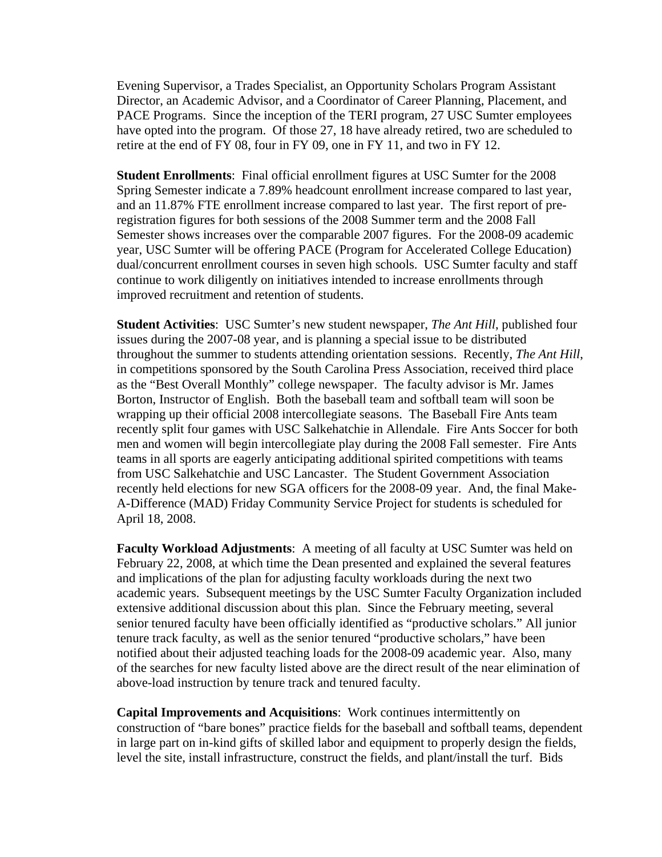Evening Supervisor, a Trades Specialist, an Opportunity Scholars Program Assistant Director, an Academic Advisor, and a Coordinator of Career Planning, Placement, and PACE Programs. Since the inception of the TERI program, 27 USC Sumter employees have opted into the program. Of those 27, 18 have already retired, two are scheduled to retire at the end of FY 08, four in FY 09, one in FY 11, and two in FY 12.

**Student Enrollments**: Final official enrollment figures at USC Sumter for the 2008 Spring Semester indicate a 7.89% headcount enrollment increase compared to last year, and an 11.87% FTE enrollment increase compared to last year. The first report of preregistration figures for both sessions of the 2008 Summer term and the 2008 Fall Semester shows increases over the comparable 2007 figures. For the 2008-09 academic year, USC Sumter will be offering PACE (Program for Accelerated College Education) dual/concurrent enrollment courses in seven high schools. USC Sumter faculty and staff continue to work diligently on initiatives intended to increase enrollments through improved recruitment and retention of students.

**Student Activities**: USC Sumter's new student newspaper, *The Ant Hill*, published four issues during the 2007-08 year, and is planning a special issue to be distributed throughout the summer to students attending orientation sessions. Recently, *The Ant Hill*, in competitions sponsored by the South Carolina Press Association, received third place as the "Best Overall Monthly" college newspaper. The faculty advisor is Mr. James Borton, Instructor of English. Both the baseball team and softball team will soon be wrapping up their official 2008 intercollegiate seasons. The Baseball Fire Ants team recently split four games with USC Salkehatchie in Allendale. Fire Ants Soccer for both men and women will begin intercollegiate play during the 2008 Fall semester. Fire Ants teams in all sports are eagerly anticipating additional spirited competitions with teams from USC Salkehatchie and USC Lancaster. The Student Government Association recently held elections for new SGA officers for the 2008-09 year. And, the final Make-A-Difference (MAD) Friday Community Service Project for students is scheduled for April 18, 2008.

**Faculty Workload Adjustments**: A meeting of all faculty at USC Sumter was held on February 22, 2008, at which time the Dean presented and explained the several features and implications of the plan for adjusting faculty workloads during the next two academic years. Subsequent meetings by the USC Sumter Faculty Organization included extensive additional discussion about this plan. Since the February meeting, several senior tenured faculty have been officially identified as "productive scholars." All junior tenure track faculty, as well as the senior tenured "productive scholars," have been notified about their adjusted teaching loads for the 2008-09 academic year. Also, many of the searches for new faculty listed above are the direct result of the near elimination of above-load instruction by tenure track and tenured faculty.

**Capital Improvements and Acquisitions**: Work continues intermittently on construction of "bare bones" practice fields for the baseball and softball teams, dependent in large part on in-kind gifts of skilled labor and equipment to properly design the fields, level the site, install infrastructure, construct the fields, and plant/install the turf. Bids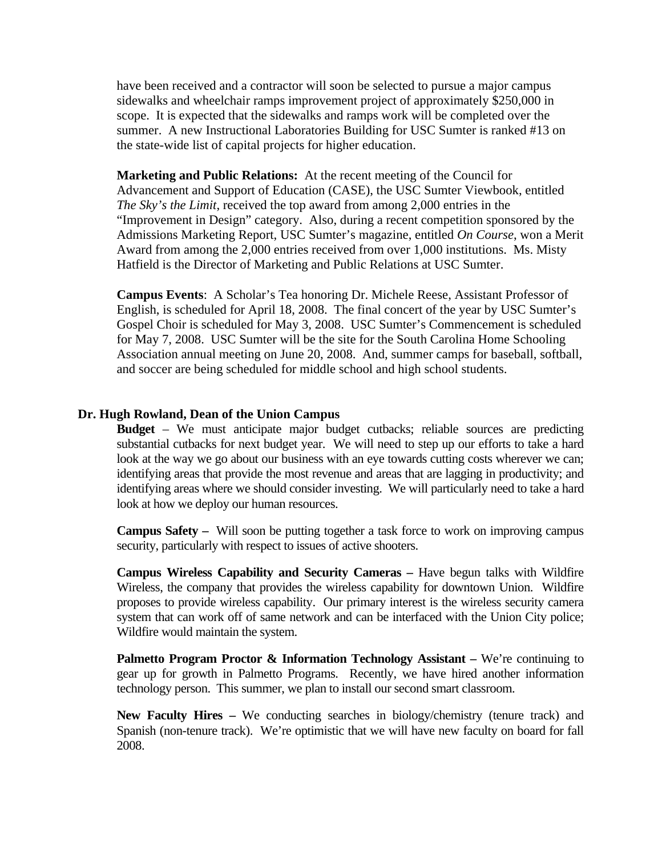have been received and a contractor will soon be selected to pursue a major campus sidewalks and wheelchair ramps improvement project of approximately \$250,000 in scope. It is expected that the sidewalks and ramps work will be completed over the summer. A new Instructional Laboratories Building for USC Sumter is ranked #13 on the state-wide list of capital projects for higher education.

**Marketing and Public Relations:** At the recent meeting of the Council for Advancement and Support of Education (CASE), the USC Sumter Viewbook, entitled *The Sky's the Limit*, received the top award from among 2,000 entries in the "Improvement in Design" category. Also, during a recent competition sponsored by the Admissions Marketing Report, USC Sumter's magazine, entitled *On Course*, won a Merit Award from among the 2,000 entries received from over 1,000 institutions. Ms. Misty Hatfield is the Director of Marketing and Public Relations at USC Sumter.

**Campus Events**: A Scholar's Tea honoring Dr. Michele Reese, Assistant Professor of English, is scheduled for April 18, 2008. The final concert of the year by USC Sumter's Gospel Choir is scheduled for May 3, 2008. USC Sumter's Commencement is scheduled for May 7, 2008. USC Sumter will be the site for the South Carolina Home Schooling Association annual meeting on June 20, 2008. And, summer camps for baseball, softball, and soccer are being scheduled for middle school and high school students.

#### **Dr. Hugh Rowland, Dean of the Union Campus**

**Budget** – We must anticipate major budget cutbacks; reliable sources are predicting substantial cutbacks for next budget year. We will need to step up our efforts to take a hard look at the way we go about our business with an eye towards cutting costs wherever we can; identifying areas that provide the most revenue and areas that are lagging in productivity; and identifying areas where we should consider investing. We will particularly need to take a hard look at how we deploy our human resources.

**Campus Safety –** Will soon be putting together a task force to work on improving campus security, particularly with respect to issues of active shooters.

**Campus Wireless Capability and Security Cameras –** Have begun talks with Wildfire Wireless, the company that provides the wireless capability for downtown Union. Wildfire proposes to provide wireless capability. Our primary interest is the wireless security camera system that can work off of same network and can be interfaced with the Union City police; Wildfire would maintain the system.

**Palmetto Program Proctor & Information Technology Assistant – We're continuing to** gear up for growth in Palmetto Programs. Recently, we have hired another information technology person. This summer, we plan to install our second smart classroom.

**New Faculty Hires –** We conducting searches in biology/chemistry (tenure track) and Spanish (non-tenure track). We're optimistic that we will have new faculty on board for fall 2008.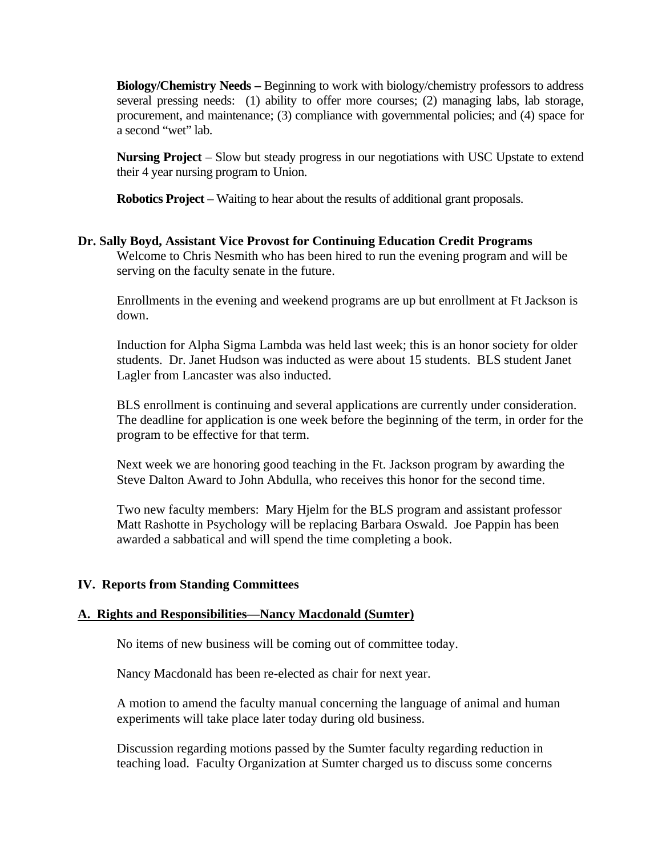**Biology/Chemistry Needs –** Beginning to work with biology/chemistry professors to address several pressing needs: (1) ability to offer more courses; (2) managing labs, lab storage, procurement, and maintenance; (3) compliance with governmental policies; and (4) space for a second "wet" lab.

**Nursing Project** – Slow but steady progress in our negotiations with USC Upstate to extend their 4 year nursing program to Union.

**Robotics Project** – Waiting to hear about the results of additional grant proposals.

#### **Dr. Sally Boyd, Assistant Vice Provost for Continuing Education Credit Programs**  Welcome to Chris Nesmith who has been hired to run the evening program and will be serving on the faculty senate in the future.

Enrollments in the evening and weekend programs are up but enrollment at Ft Jackson is down.

Induction for Alpha Sigma Lambda was held last week; this is an honor society for older students. Dr. Janet Hudson was inducted as were about 15 students. BLS student Janet Lagler from Lancaster was also inducted.

BLS enrollment is continuing and several applications are currently under consideration. The deadline for application is one week before the beginning of the term, in order for the program to be effective for that term.

Next week we are honoring good teaching in the Ft. Jackson program by awarding the Steve Dalton Award to John Abdulla, who receives this honor for the second time.

Two new faculty members: Mary Hjelm for the BLS program and assistant professor Matt Rashotte in Psychology will be replacing Barbara Oswald. Joe Pappin has been awarded a sabbatical and will spend the time completing a book.

#### **IV. Reports from Standing Committees**

#### **A. Rights and Responsibilities—Nancy Macdonald (Sumter)**

No items of new business will be coming out of committee today.

Nancy Macdonald has been re-elected as chair for next year.

A motion to amend the faculty manual concerning the language of animal and human experiments will take place later today during old business.

Discussion regarding motions passed by the Sumter faculty regarding reduction in teaching load. Faculty Organization at Sumter charged us to discuss some concerns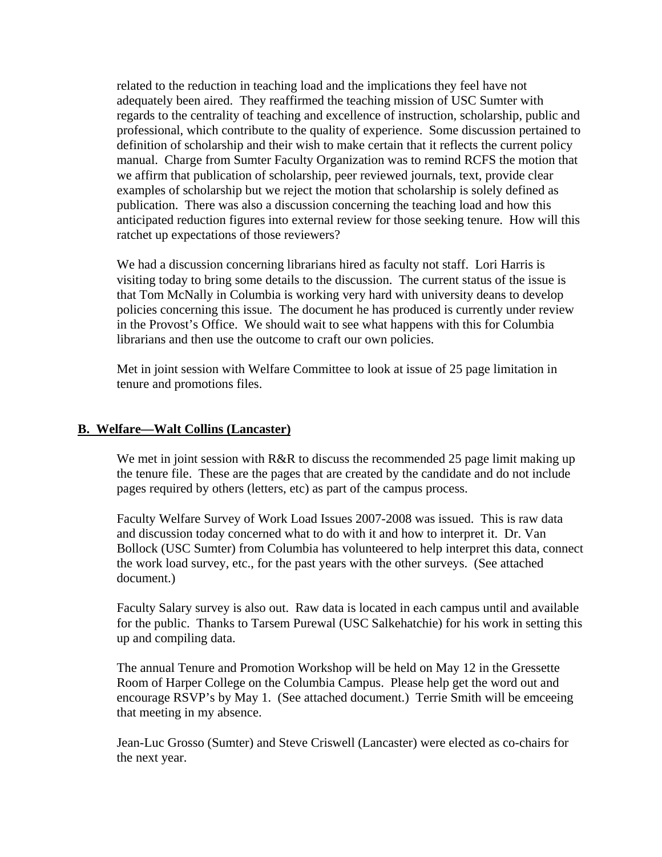related to the reduction in teaching load and the implications they feel have not adequately been aired. They reaffirmed the teaching mission of USC Sumter with regards to the centrality of teaching and excellence of instruction, scholarship, public and professional, which contribute to the quality of experience. Some discussion pertained to definition of scholarship and their wish to make certain that it reflects the current policy manual. Charge from Sumter Faculty Organization was to remind RCFS the motion that we affirm that publication of scholarship, peer reviewed journals, text, provide clear examples of scholarship but we reject the motion that scholarship is solely defined as publication. There was also a discussion concerning the teaching load and how this anticipated reduction figures into external review for those seeking tenure. How will this ratchet up expectations of those reviewers?

We had a discussion concerning librarians hired as faculty not staff. Lori Harris is visiting today to bring some details to the discussion. The current status of the issue is that Tom McNally in Columbia is working very hard with university deans to develop policies concerning this issue. The document he has produced is currently under review in the Provost's Office. We should wait to see what happens with this for Columbia librarians and then use the outcome to craft our own policies.

Met in joint session with Welfare Committee to look at issue of 25 page limitation in tenure and promotions files.

#### **B. Welfare—Walt Collins (Lancaster)**

We met in joint session with R&R to discuss the recommended 25 page limit making up the tenure file. These are the pages that are created by the candidate and do not include pages required by others (letters, etc) as part of the campus process.

Faculty Welfare Survey of Work Load Issues 2007-2008 was issued. This is raw data and discussion today concerned what to do with it and how to interpret it. Dr. Van Bollock (USC Sumter) from Columbia has volunteered to help interpret this data, connect the work load survey, etc., for the past years with the other surveys. (See attached document.)

Faculty Salary survey is also out. Raw data is located in each campus until and available for the public. Thanks to Tarsem Purewal (USC Salkehatchie) for his work in setting this up and compiling data.

The annual Tenure and Promotion Workshop will be held on May 12 in the Gressette Room of Harper College on the Columbia Campus. Please help get the word out and encourage RSVP's by May 1. (See attached document.) Terrie Smith will be emceeing that meeting in my absence.

Jean-Luc Grosso (Sumter) and Steve Criswell (Lancaster) were elected as co-chairs for the next year.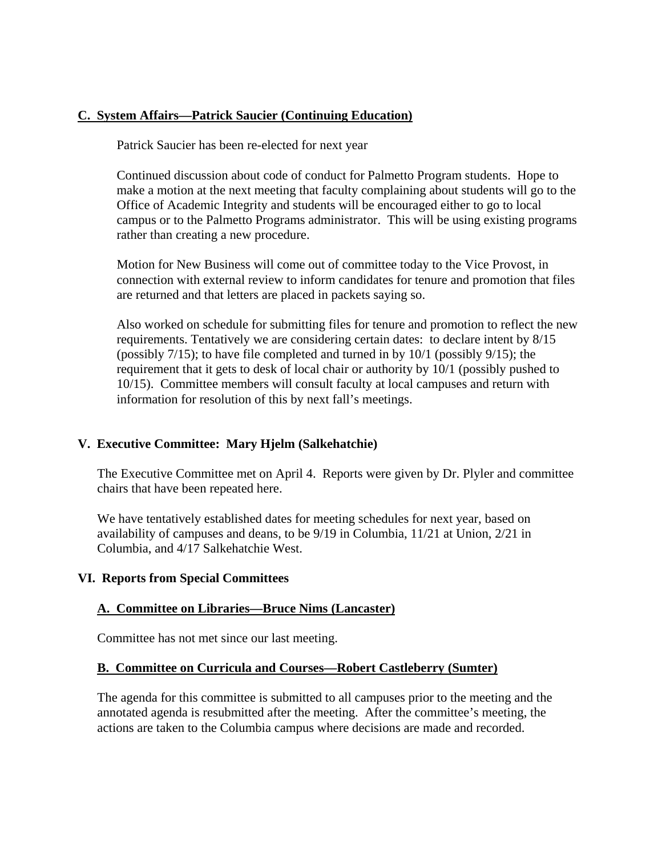#### **C. System Affairs—Patrick Saucier (Continuing Education)**

Patrick Saucier has been re-elected for next year

Continued discussion about code of conduct for Palmetto Program students. Hope to make a motion at the next meeting that faculty complaining about students will go to the Office of Academic Integrity and students will be encouraged either to go to local campus or to the Palmetto Programs administrator. This will be using existing programs rather than creating a new procedure.

Motion for New Business will come out of committee today to the Vice Provost, in connection with external review to inform candidates for tenure and promotion that files are returned and that letters are placed in packets saying so.

Also worked on schedule for submitting files for tenure and promotion to reflect the new requirements. Tentatively we are considering certain dates: to declare intent by 8/15 (possibly 7/15); to have file completed and turned in by 10/1 (possibly 9/15); the requirement that it gets to desk of local chair or authority by 10/1 (possibly pushed to 10/15). Committee members will consult faculty at local campuses and return with information for resolution of this by next fall's meetings.

#### **V. Executive Committee: Mary Hjelm (Salkehatchie)**

The Executive Committee met on April 4. Reports were given by Dr. Plyler and committee chairs that have been repeated here.

We have tentatively established dates for meeting schedules for next year, based on availability of campuses and deans, to be 9/19 in Columbia, 11/21 at Union, 2/21 in Columbia, and 4/17 Salkehatchie West.

#### **VI. Reports from Special Committees**

#### **A. Committee on Libraries—Bruce Nims (Lancaster)**

Committee has not met since our last meeting.

#### **B. Committee on Curricula and Courses—Robert Castleberry (Sumter)**

The agenda for this committee is submitted to all campuses prior to the meeting and the annotated agenda is resubmitted after the meeting. After the committee's meeting, the actions are taken to the Columbia campus where decisions are made and recorded.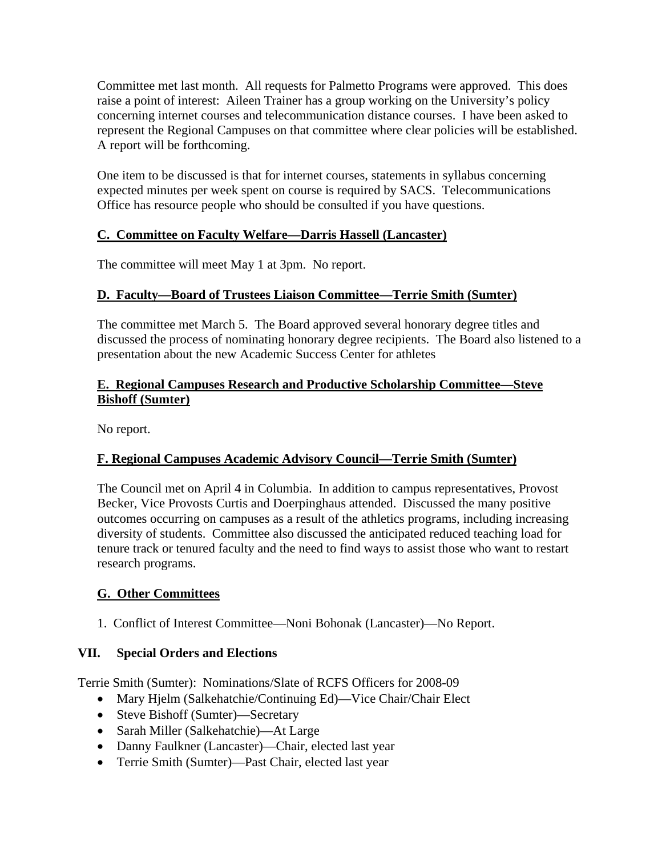Committee met last month. All requests for Palmetto Programs were approved. This does raise a point of interest: Aileen Trainer has a group working on the University's policy concerning internet courses and telecommunication distance courses. I have been asked to represent the Regional Campuses on that committee where clear policies will be established. A report will be forthcoming.

One item to be discussed is that for internet courses, statements in syllabus concerning expected minutes per week spent on course is required by SACS. Telecommunications Office has resource people who should be consulted if you have questions.

#### **C. Committee on Faculty Welfare—Darris Hassell (Lancaster)**

The committee will meet May 1 at 3pm. No report.

#### **D. Faculty—Board of Trustees Liaison Committee—Terrie Smith (Sumter)**

The committee met March 5. The Board approved several honorary degree titles and discussed the process of nominating honorary degree recipients. The Board also listened to a presentation about the new Academic Success Center for athletes

#### **E. Regional Campuses Research and Productive Scholarship Committee—Steve Bishoff (Sumter)**

No report.

#### **F. Regional Campuses Academic Advisory Council—Terrie Smith (Sumter)**

The Council met on April 4 in Columbia. In addition to campus representatives, Provost Becker, Vice Provosts Curtis and Doerpinghaus attended. Discussed the many positive outcomes occurring on campuses as a result of the athletics programs, including increasing diversity of students. Committee also discussed the anticipated reduced teaching load for tenure track or tenured faculty and the need to find ways to assist those who want to restart research programs.

#### **G. Other Committees**

1. Conflict of Interest Committee—Noni Bohonak (Lancaster)—No Report.

#### **VII. Special Orders and Elections**

Terrie Smith (Sumter): Nominations/Slate of RCFS Officers for 2008-09

- Mary Hjelm (Salkehatchie/Continuing Ed)—Vice Chair/Chair Elect
- Steve Bishoff (Sumter)—Secretary
- Sarah Miller (Salkehatchie)—At Large
- Danny Faulkner (Lancaster)—Chair, elected last year
- Terrie Smith (Sumter)—Past Chair, elected last year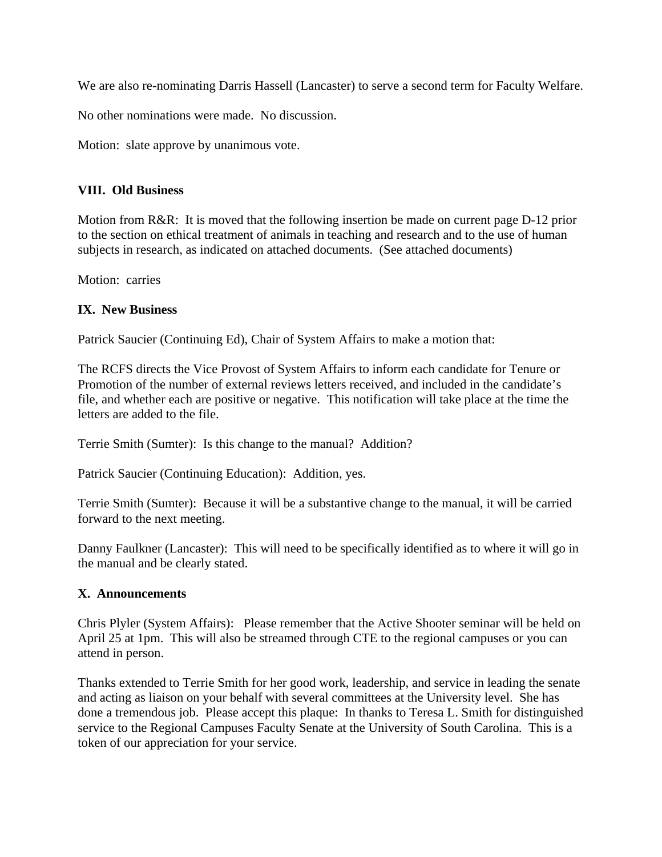We are also re-nominating Darris Hassell (Lancaster) to serve a second term for Faculty Welfare.

No other nominations were made. No discussion.

Motion: slate approve by unanimous vote.

#### **VIII. Old Business**

Motion from R&R: It is moved that the following insertion be made on current page D-12 prior to the section on ethical treatment of animals in teaching and research and to the use of human subjects in research, as indicated on attached documents. (See attached documents)

Motion: carries

#### **IX. New Business**

Patrick Saucier (Continuing Ed), Chair of System Affairs to make a motion that:

The RCFS directs the Vice Provost of System Affairs to inform each candidate for Tenure or Promotion of the number of external reviews letters received, and included in the candidate's file, and whether each are positive or negative. This notification will take place at the time the letters are added to the file.

Terrie Smith (Sumter): Is this change to the manual? Addition?

Patrick Saucier (Continuing Education): Addition, yes.

Terrie Smith (Sumter): Because it will be a substantive change to the manual, it will be carried forward to the next meeting.

Danny Faulkner (Lancaster): This will need to be specifically identified as to where it will go in the manual and be clearly stated.

#### **X. Announcements**

Chris Plyler (System Affairs): Please remember that the Active Shooter seminar will be held on April 25 at 1pm. This will also be streamed through CTE to the regional campuses or you can attend in person.

Thanks extended to Terrie Smith for her good work, leadership, and service in leading the senate and acting as liaison on your behalf with several committees at the University level. She has done a tremendous job. Please accept this plaque: In thanks to Teresa L. Smith for distinguished service to the Regional Campuses Faculty Senate at the University of South Carolina. This is a token of our appreciation for your service.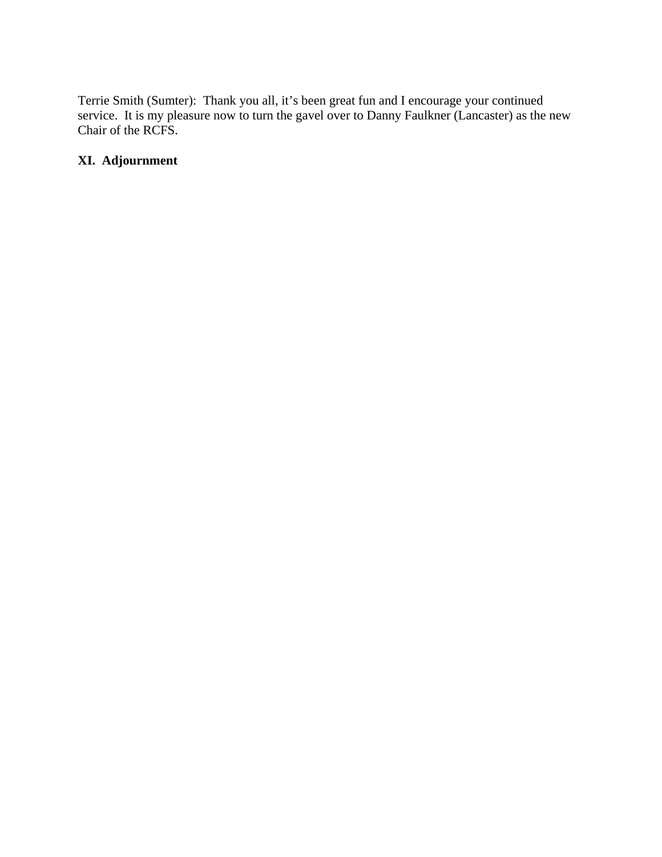Terrie Smith (Sumter): Thank you all, it's been great fun and I encourage your continued service. It is my pleasure now to turn the gavel over to Danny Faulkner (Lancaster) as the new Chair of the RCFS.

#### **XI. Adjournment**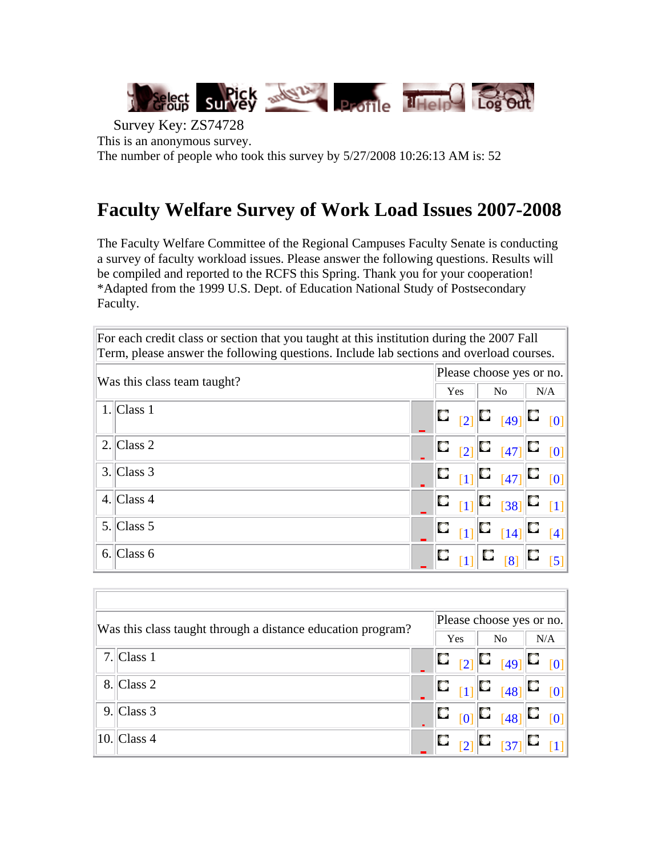

Survey Key: ZS74728 This is an anonymous survey. The number of people who took this survey by 5/27/2008 10:26:13 AM is: 52

### **Faculty Welfare Survey of Work Load Issues 2007-2008**

The Faculty Welfare Committee of the Regional Campuses Faculty Senate is conducting a survey of faculty workload issues. Please answer the following questions. Results will be compiled and reported to the RCFS this Spring. Thank you for your cooperation! \*Adapted from the 1999 U.S. Dept. of Education National Study of Postsecondary Faculty.

| For each credit class or section that you taught at this institution during the 2007 Fall<br>Term, please answer the following questions. Include lab sections and overload courses. |  |            |  |                          |                                                                                                                                              |     |                   |  |  |  |  |  |
|--------------------------------------------------------------------------------------------------------------------------------------------------------------------------------------|--|------------|--|--------------------------|----------------------------------------------------------------------------------------------------------------------------------------------|-----|-------------------|--|--|--|--|--|
| Was this class team taught?                                                                                                                                                          |  |            |  | Please choose yes or no. |                                                                                                                                              |     |                   |  |  |  |  |  |
|                                                                                                                                                                                      |  | <b>Yes</b> |  | N <sub>o</sub>           |                                                                                                                                              | N/A |                   |  |  |  |  |  |
| $1$ . Class 1                                                                                                                                                                        |  |            |  |                          | $\ C\ _{[2]} \ C\ _{[49]} \ C\ _{[0]}$                                                                                                       |     |                   |  |  |  |  |  |
| $2$ . Class 2                                                                                                                                                                        |  |            |  |                          | $\begin{bmatrix} 1 & 0 \\ 0 & 1 \end{bmatrix}$ $\begin{bmatrix} 1 & 0 \\ 0 & 1 \end{bmatrix}$ $\begin{bmatrix} 0 & 0 \\ 0 & 1 \end{bmatrix}$ |     |                   |  |  |  |  |  |
| $3$ . Class 3                                                                                                                                                                        |  |            |  |                          | $\ C_{[1]}\ C_{[47]}\ C_{[0]}$                                                                                                               |     |                   |  |  |  |  |  |
| 4. Class $4$                                                                                                                                                                         |  |            |  |                          | $\ {\bf C}\ _{[1]} \ {\bf C}\ _{[38]} \ {\bf C}\ _{[1]}$                                                                                     |     |                   |  |  |  |  |  |
| $5$ . Class 5                                                                                                                                                                        |  |            |  |                          | $\mathbf{C}_{[11]} \mathbf{C}_{[14]} \mathbf{C}$                                                                                             |     | $\lceil 4 \rceil$ |  |  |  |  |  |
| $6$ . Class 6                                                                                                                                                                        |  |            |  |                          | $\ 1\ $ $\Box$ $\ 8\ $ $\Box$                                                                                                                |     | $\overline{5}$    |  |  |  |  |  |

| Please choose yes or no.<br>Was this class taught through a distance education program?<br>Yes |  |  |  |  |                                                                                                                                  |  |     |  |  |  |  |  |  |
|------------------------------------------------------------------------------------------------|--|--|--|--|----------------------------------------------------------------------------------------------------------------------------------|--|-----|--|--|--|--|--|--|
| $7$ . Class 1                                                                                  |  |  |  |  | N <sub>0</sub><br>$\begin{array}{ c c c c }\hline \mathbf{C} & \mathbf{_{[2]}} & \mathbf{C} & \mathbf{_{[0]}}\hline \end{array}$ |  | N/A |  |  |  |  |  |  |
| $8$ . Class 2                                                                                  |  |  |  |  | $\begin{bmatrix} \mathbf{C} & & & \\ & [1] & \mathbf{C} & & \\ & & [48] & \mathbf{C} & \\ & & & [0] & \end{bmatrix}$             |  |     |  |  |  |  |  |  |
| $9$ . Class 3                                                                                  |  |  |  |  | $\begin{bmatrix} 1 & 0 \\ 0 & 1 \end{bmatrix}$ $\begin{bmatrix} 1 & 0 \\ 0 & 1 \end{bmatrix}$                                    |  |     |  |  |  |  |  |  |
| $10$ . Class 4                                                                                 |  |  |  |  |                                                                                                                                  |  |     |  |  |  |  |  |  |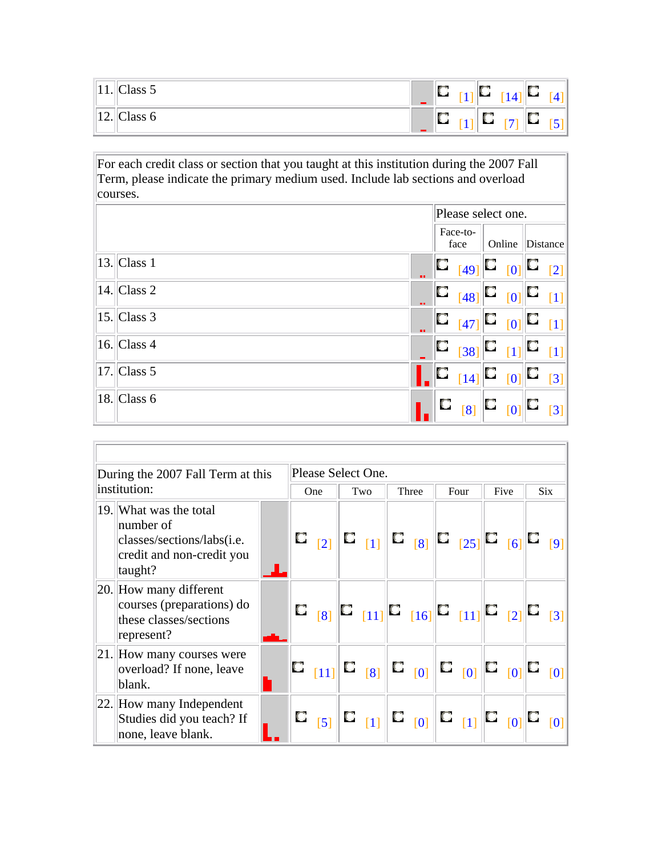| .                           | ~<br>-<br>Class 5 | . . | سد  | 14                       | п. |
|-----------------------------|-------------------|-----|-----|--------------------------|----|
| $\sim$<br>$\perp$ $\perp$ . | $\sim$<br>Class 6 | .   | - 1 | $\overline{\phantom{a}}$ |    |

For each credit class or section that you taught at this institution during the 2007 Fall Term, please indicate the primary medium used. Include lab sections and overload courses.

|                        |                  |   | Please select one.                                                                                                                                                                  |        |                   |
|------------------------|------------------|---|-------------------------------------------------------------------------------------------------------------------------------------------------------------------------------------|--------|-------------------|
|                        | Face-to-<br>face |   |                                                                                                                                                                                     | Online | Distance          |
| $ 13. \text{Class } 1$ | <b>B R</b>       |   | $\begin{array}{ c c c c c }\n\hline\n C & 49 \end{array}$ $\begin{array}{ c c c c }\n\hline\n 0 & 0\n\end{array}$                                                                   |        | $\lceil 2 \rceil$ |
| $ 14 $ Class 2         |                  |   | $\begin{array}{ c c c c }\n\hline\n\text{C} & \text{[48]} & \text{C} & \text{[0]} & \text{C}\n\end{array}$                                                                          |        | [1]               |
| $ 15 $ Class 3         | --               |   | $\begin{bmatrix} \mathbf{C} & & & \begin{bmatrix} 47 \end{bmatrix} & \mathbf{C} & & \begin{bmatrix} 0 \end{bmatrix} & \mathbf{C} & & \begin{bmatrix} 1 \end{bmatrix} \end{bmatrix}$ |        |                   |
| $ 16 $ Class 4         |                  | C | $\begin{bmatrix} 38 \end{bmatrix}$ $\begin{bmatrix} \square \\ 1 \end{bmatrix}$ $\begin{bmatrix} \square \end{bmatrix}$                                                             |        | [1]               |
| $ 17 $ Class 5         |                  |   | $\blacksquare$ $\square_{[14]}$ $\square_{[0]}$ $\square$                                                                                                                           |        | $\overline{3}$    |
| $ 18. \text{Class } 6$ |                  |   |                                                                                                                                                                                     |        | $\overline{3}$    |

| During the 2007 Fall Term at this                                                                         |  | Please Select One. |                     |     |  |       |  |  |                                                                                                                                                                                                                                     |  |      |  |     |
|-----------------------------------------------------------------------------------------------------------|--|--------------------|---------------------|-----|--|-------|--|--|-------------------------------------------------------------------------------------------------------------------------------------------------------------------------------------------------------------------------------------|--|------|--|-----|
| institution:                                                                                              |  |                    |                     | Two |  | Three |  |  | Four                                                                                                                                                                                                                                |  | Five |  | Six |
| 19. What was the total<br>number of<br>classes/sections/labs(i.e.<br>credit and non-credit you<br>taught? |  |                    | $\mathbb{C}_{-[2]}$ |     |  |       |  |  |                                                                                                                                                                                                                                     |  |      |  |     |
| $ 20.  $ How many different<br>courses (preparations) do<br>these classes/sections<br>represent?          |  |                    | $\Box$ $\Box$       |     |  |       |  |  | $\begin{bmatrix} \Box &_{[11]} \end{bmatrix}$ $\begin{bmatrix} \Box &_{[16]} \end{bmatrix}$ $\begin{bmatrix} \Box &_{[11]} \end{bmatrix}$ $\begin{bmatrix} \Box &_{[2]} \end{bmatrix}$ $\begin{bmatrix} \Box &_{[3]} \end{bmatrix}$ |  |      |  |     |
| $ 21. $ How many courses were<br>overload? If none, leave<br>blank.                                       |  |                    |                     |     |  |       |  |  | $\mathbf{C}_{[11]}$ $\mathbf{C}_{[8]}$ $\mathbf{C}_{[0]}$ $\mathbf{C}_{[0]}$ $\mathbf{C}_{[0]}$ $\mathbf{C}_{[0]}$ $\mathbf{C}_{[0]}$                                                                                               |  |      |  |     |
| $ 22. $ How many Independent<br>Studies did you teach? If<br>none, leave blank.                           |  |                    | $\Box$ $\boxed{5}$  |     |  |       |  |  |                                                                                                                                                                                                                                     |  |      |  |     |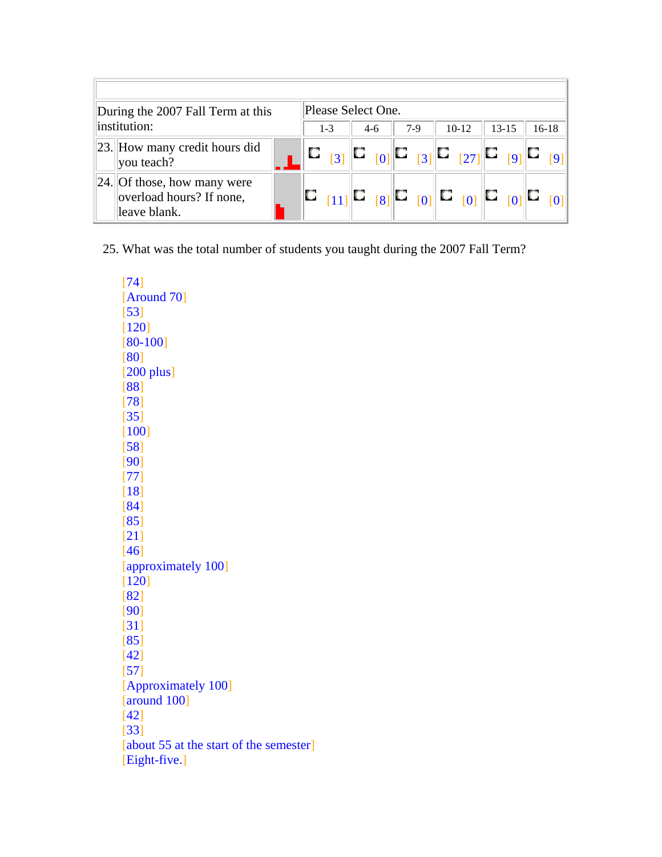|              | Please Select One.<br>During the 2007 Fall Term at this                    |  |  |         |       |  |  |       |  |         |  |           |         |  |
|--------------|----------------------------------------------------------------------------|--|--|---------|-------|--|--|-------|--|---------|--|-----------|---------|--|
| institution: |                                                                            |  |  | $1 - 3$ | $4-6$ |  |  | $7-9$ |  | $10-12$ |  | $13 - 15$ | $16-18$ |  |
|              | [23.] How many credit hours did<br>$ $ you teach?                          |  |  |         |       |  |  |       |  |         |  |           |         |  |
|              | $ 24 $ Of those, how many were<br>overload hours? If none,<br>leave blank. |  |  |         |       |  |  |       |  |         |  |           |         |  |

25. What was the total number of students you taught during the 2007 Fall Term?

[74] [Around 70] [53] [120] [80-100] [80] [200 plus] [88] [78] [35] [100] [58] [90] [77] [18] [84] [85] [21] [46] [approximately 100] [120] [82] [90] [31] [85] [42] [57] [Approximately 100] [around 100] [42] [33] [about 55 at the start of the semester] [Eight-five.]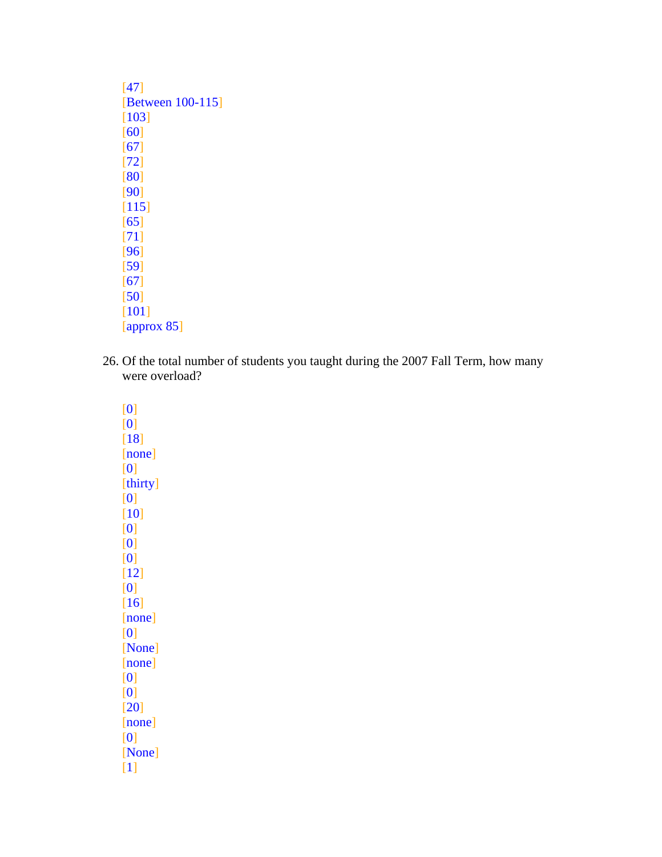| [47]                    |
|-------------------------|
| <b>Between 100-1151</b> |
| [103]                   |
| [60]                    |
| [67]                    |
| $\lceil 72 \rceil$      |
| [80]                    |
| [90]                    |
| [115]                   |
| [65]                    |
| [71]                    |
| [96]                    |
| [59]                    |
| [67]                    |
| [50]                    |
| [101]                   |
| $ $ approx 85 $ $       |

26. Of the total number of students you taught during the 2007 Fall Term, how many were overload?

[0] [0] [18] [none] [0] [thirty] [0] [10] [0] [0] [0]  $[12]$ [0]  $[16]$ [none] [0] [None] [none] [0] [0] [20] [none] [0] [None] [1]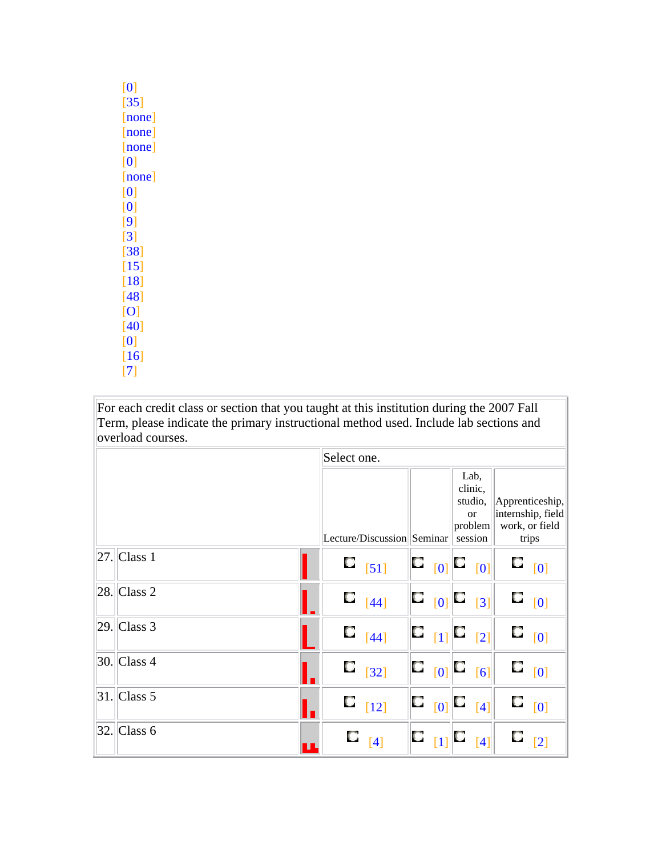| Œ                            |
|------------------------------|
| 351                          |
| none                         |
| Юr                           |
| nor<br>е                     |
| Ю                            |
| <u>ione</u>                  |
|                              |
| 0                            |
| 19                           |
| [3]                          |
| $\lceil 38 \rceil$           |
| [15                          |
| [18                          |
| $\left\lceil 48\right\rceil$ |
| Ю                            |
| 401                          |
| 0                            |
| $\lceil 16 \rceil$           |
| [7                           |

For each credit class or section that you taught at this institution during the 2007 Fall Term, please indicate the primary instructional method used. Include lab sections and overload courses.

|                        | Select one. |                            |                                                                                                                                                           |   |                                                        |   |                                                        |
|------------------------|-------------|----------------------------|-----------------------------------------------------------------------------------------------------------------------------------------------------------|---|--------------------------------------------------------|---|--------------------------------------------------------|
|                        |             |                            |                                                                                                                                                           |   | Lab,<br>clinic,<br>studio,<br><sub>or</sub><br>problem |   | Apprenticeship,<br>internship, field<br>work, or field |
|                        |             | Lecture/Discussion Seminar |                                                                                                                                                           |   | session                                                |   | trips                                                  |
| $ 27 $ Class 1         |             | $\Box$ [51]                |                                                                                                                                                           |   |                                                        | O | [0]                                                    |
| $ 28$ . Class 2        |             | $\Box$ $[44]$              | $\begin{bmatrix} \square & \phantom{\square} 0 \end{bmatrix}^{\!\top\!}$                                                                                  | D | $\lceil 3 \rceil$                                      |   | $\Box_{[0]}$                                           |
| $ 29 $ Class 3         |             | $\Box$ [44]                | $\begin{array}{ c c c c }\n\hline\nC & 11 & C & 21\n\end{array}$                                                                                          |   |                                                        |   | $\Box_{\quad [0]}$                                     |
| $ 30.  $ Class 4       |             | $\Box$ [32]                | $\begin{bmatrix} \mathbb{C} & \begin{bmatrix} 0 \end{bmatrix} & \begin{bmatrix} \mathbb{C} & \begin{bmatrix} 6 \end{bmatrix} \end{bmatrix} \end{bmatrix}$ |   |                                                        |   | $\Box$ $_{[0]}$                                        |
| $ 31. \text{Class } 5$ |             | $\Box$ [12]                | $\mathbf{C}$ $_{[0]}$ $\mathbf{C}$                                                                                                                        |   | $[4]$                                                  | О | [0]                                                    |
| $ 32 $ Class 6         | O           | $\lceil 4 \rceil$          | $\begin{bmatrix} \textbf{C} & \textbf{I} \end{bmatrix}$                                                                                                   | O | [4]                                                    |   | $\lceil 2 \rceil$                                      |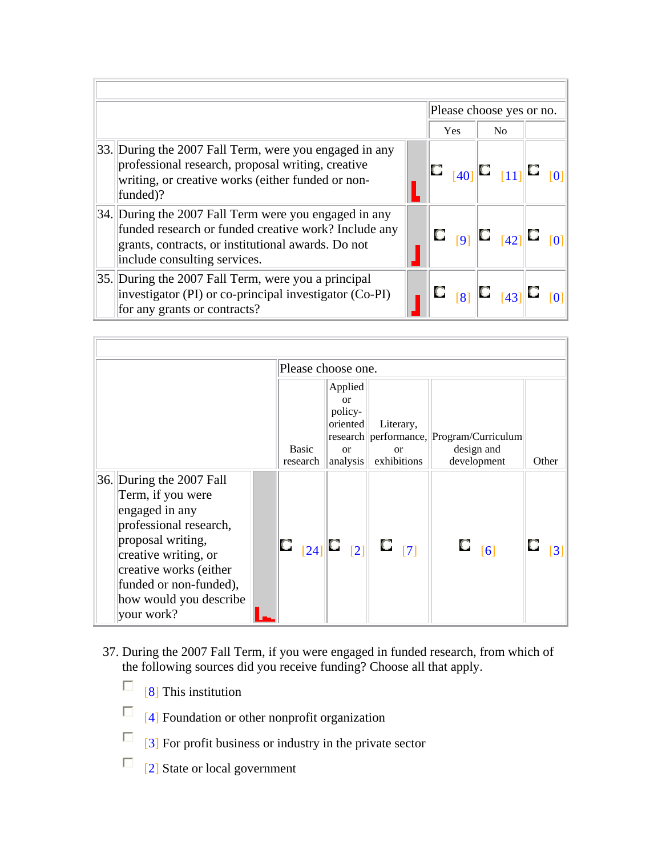|                                                                                                                                                                                                     |  |            | Please choose yes or no.                                                                                                       |  |
|-----------------------------------------------------------------------------------------------------------------------------------------------------------------------------------------------------|--|------------|--------------------------------------------------------------------------------------------------------------------------------|--|
|                                                                                                                                                                                                     |  | <b>Yes</b> | N <sub>0</sub>                                                                                                                 |  |
| 33. During the 2007 Fall Term, were you engaged in any<br>professional research, proposal writing, creative<br>writing, or creative works (either funded or non-<br>funded)?                        |  |            | $\mathbb{E}_{[40]}$ $\mathbb{E}_{[11]}$ $\mathbb{E}_{[}$                                                                       |  |
| 34. During the 2007 Fall Term were you engaged in any<br>funded research or funded creative work? Include any<br>grants, contracts, or institutional awards. Do not<br>include consulting services. |  |            | $\begin{array}{c} \mathbf{C} \\ \hline \mathbf{[9]}\end{array} \begin{array}{c} \mathbf{C} \\ \hline \mathbf{[42]}\end{array}$ |  |
| 35. During the 2007 Fall Term, were you a principal<br>investigator (PI) or co-principal investigator (Co-PI)<br>for any grants or contracts?                                                       |  |            | $\Box$ $_{[8]}$ $\Box$ $_{[43]}$ $\Box$                                                                                        |  |

|                                                                                                                                                                                                                                    |  |                          | Please choose one.                                                 |                                      |                                                                           |                   |
|------------------------------------------------------------------------------------------------------------------------------------------------------------------------------------------------------------------------------------|--|--------------------------|--------------------------------------------------------------------|--------------------------------------|---------------------------------------------------------------------------|-------------------|
|                                                                                                                                                                                                                                    |  | <b>Basic</b><br>research | Applied<br>$\alpha$<br>policy-<br>oriented<br>$\alpha$<br>analysis | Literary,<br>$\alpha$<br>exhibitions | research   performance,   Program/Curriculum<br>design and<br>development | Other             |
| 36. During the 2007 Fall<br>Term, if you were<br>engaged in any<br>professional research,<br>proposal writing,<br>creative writing, or<br>creative works (either<br>funded or non-funded),<br>how would you describe<br>your work? |  |                          | $\begin{bmatrix} 1 & 0 \\ 0 & 0 \end{bmatrix}$                     | $\Box$ $[7]$                         | $\Box$ [6]                                                                | $\lceil 3 \rceil$ |

- 37. During the 2007 Fall Term, if you were engaged in funded research, from which of the following sources did you receive funding? Choose all that apply.
	- $\Box$  [8] This institution
	- $\Box$  [4] Foundation or other nonprofit organization
	- $\Box$  [3] For profit business or industry in the private sector
	- $\Box$  [2] State or local government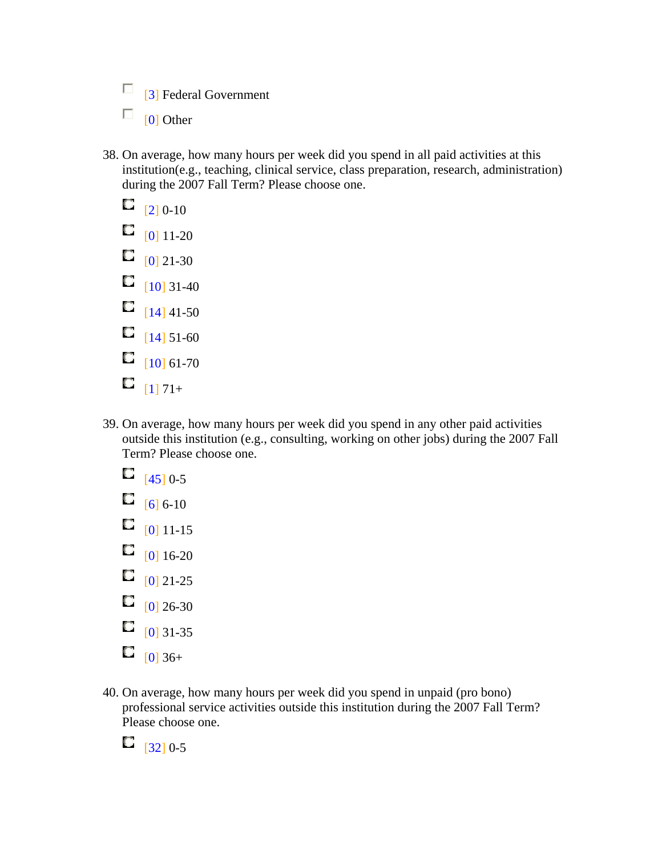$\Box$  [3] Federal Government

- $\Box$  [0] Other
- 38. On average, how many hours per week did you spend in all paid activities at this institution(e.g., teaching, clinical service, class preparation, research, administration) during the 2007 Fall Term? Please choose one.
	- $\Box$  [2] 0-10  $\Box$   $[0]$  11-20  $\Box$  [0] 21-30  $\Box$  [10] 31-40  $\Box$  [14] 41-50  $\Box$  [14] 51-60  $\Box$  [10] 61-70  $\Box$  [1] 71+
- 39. On average, how many hours per week did you spend in any other paid activities outside this institution (e.g., consulting, working on other jobs) during the 2007 Fall Term? Please choose one.
	- $\Box$  [45] 0-5
	- $\Box$  [6] 6-10
	- $\Box$  [0] 11-15
	- $\Box$  [0] 16-20
	- $\Box$   $[0]$  21-25
	- $\Box$  [0] 26-30
	- $\Box$  [0] 31-35
	- $\Box$  [0] 36+
- 40. On average, how many hours per week did you spend in unpaid (pro bono) professional service activities outside this institution during the 2007 Fall Term? Please choose one.

 $\Box$  [32] 0-5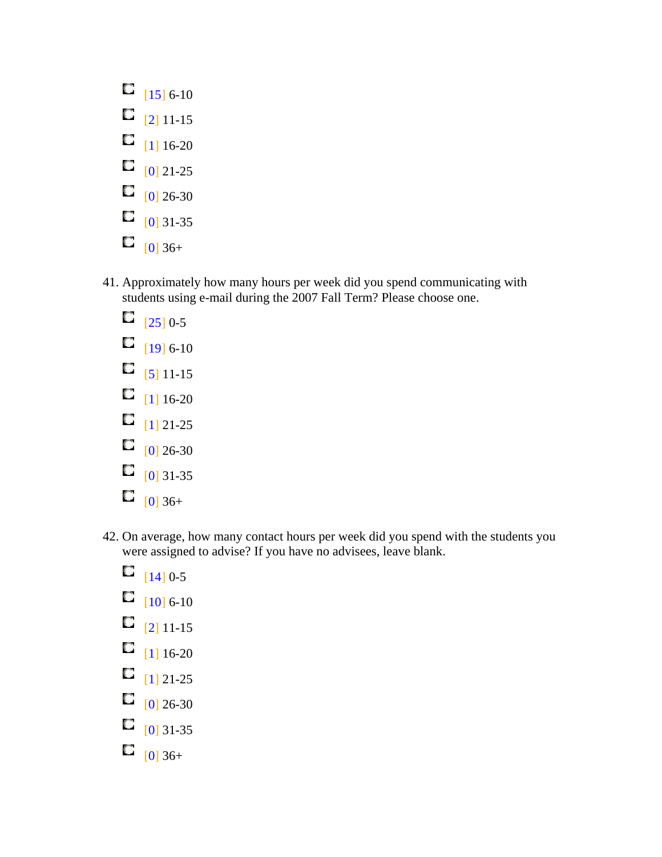- $\Box$  [15] 6-10  $\Box$  [2] 11-15  $\Box$  [1] 16-20  $\Box$  [0] 21-25  $\Box$  [0] 26-30  $\Box$  [0] 31-35  $\Box$  [0] 36+
- 41. Approximately how many hours per week did you spend communicating with students using e-mail during the 2007 Fall Term? Please choose one.
	- $\Box$  [25] 0-5  $\Box$  [19] 6-10  $\Box$  [5] 11-15  $\Box$  [1] 16-20  $\Box$  [1] 21-25  $\Box$  [0] 26-30  $\Box$  [0] 31-35
	- $\Box$  [0] 36+
- 42. On average, how many contact hours per week did you spend with the students you were assigned to advise? If you have no advisees, leave blank.
	- $\Box$  [14] 0-5
	- $\Box$  [10] 6-10
	- $\Box$  [2] 11-15
	- $\Box$  [1] 16-20
	- $\Box$  [1] 21-25
	- $\Box$  [0] 26-30
	- $\Box$  [0] 31-35
	- $\Box$  [0] 36+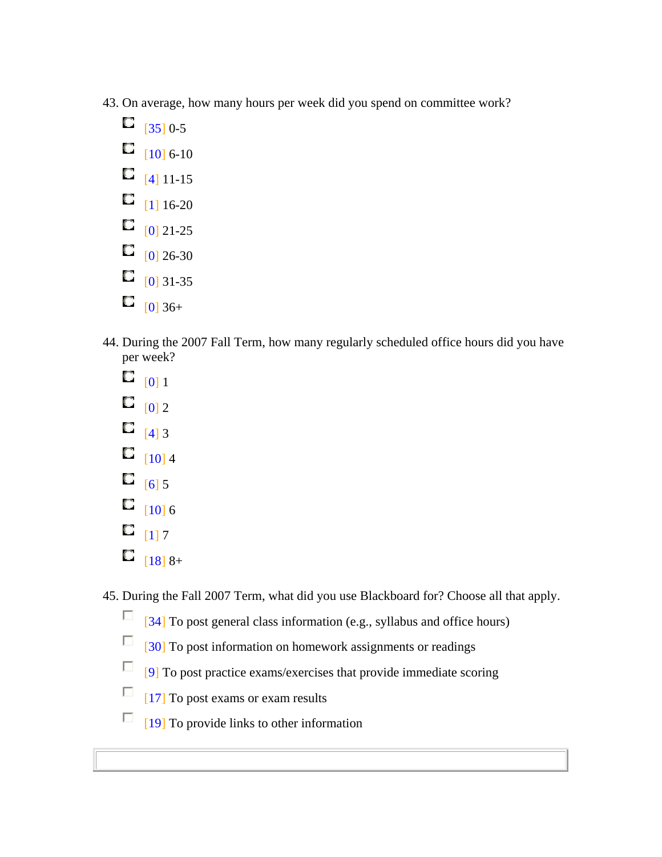- 43. On average, how many hours per week did you spend on committee work?
	- $\Box$  [35] 0-5
	- $\Box$  [10] 6-10
	- $\Box$  [4] 11-15
	- $\Box$  [1] 16-20
	- $\Box$   $[0]$  21-25
	- $\Box$  [0] 26-30
	- $\Box$  [0] 31-35
	- $\Box$  [0] 36+
- 44. During the 2007 Fall Term, how many regularly scheduled office hours did you have per week?
	- $\Box$  [0] 1
	- $\Box$  [0] 2
	- $\Box$  [4] 3
	- $\Box$  [10] 4
	- $\Box$  [6] 5
	- $\Box$  [10] 6
	- $\Box$  [1] 7
	- $\Box$  [18] 8+

45. During the Fall 2007 Term, what did you use Blackboard for? Choose all that apply.

- $\Box$  [34] To post general class information (e.g., syllabus and office hours)
- $\Box$  [30] To post information on homework assignments or readings
- $\Box$  [9] To post practice exams/exercises that provide immediate scoring
- $\Box$  [17] To post exams or exam results
- $\Box$  [19] To provide links to other information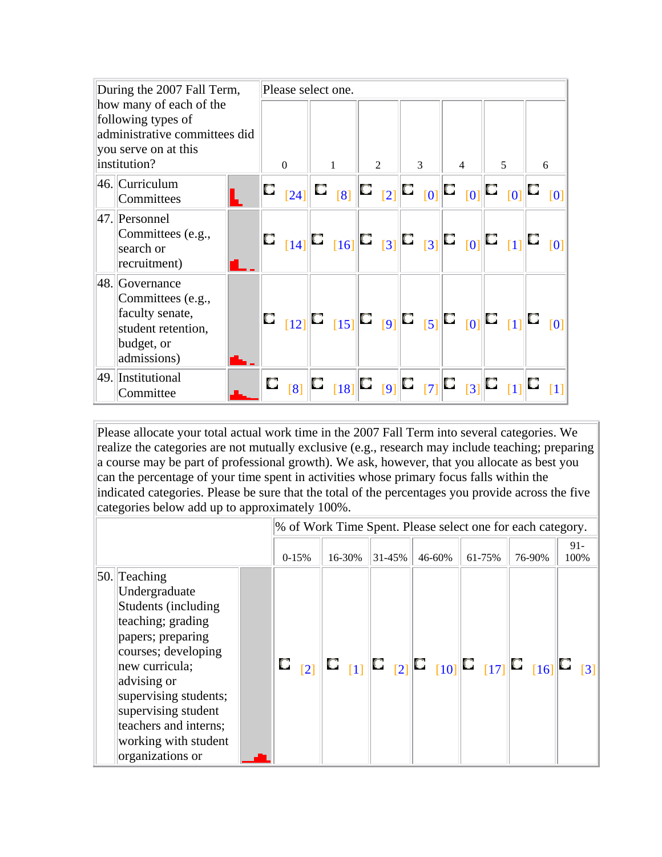| During the 2007 Fall Term,                                                                                             |  | Please select one. |                                                                                                                                        |                |   |                |   |   |
|------------------------------------------------------------------------------------------------------------------------|--|--------------------|----------------------------------------------------------------------------------------------------------------------------------------|----------------|---|----------------|---|---|
| how many of each of the<br>following types of<br>administrative committees did<br>you serve on at this<br>institution? |  | $\Omega$           | $\mathbf{1}$                                                                                                                           | $\mathfrak{D}$ | 3 | $\overline{4}$ | 5 | 6 |
| 46. Curriculum<br>Committees                                                                                           |  |                    |                                                                                                                                        |                |   |                |   |   |
| 47. Personnel<br>Committees (e.g.,<br>search or<br>recruitment)                                                        |  |                    |                                                                                                                                        |                |   |                |   |   |
| $ 48. $ Governance<br>Committees (e.g.,<br>faculty senate,<br>student retention,<br>budget, or<br>admissions)          |  |                    |                                                                                                                                        |                |   |                |   |   |
| 49. Institutional<br>Committee                                                                                         |  |                    | $\mathbf{C}_{-[8]}$ $\mathbf{C}_{[18]}$ $\mathbf{C}_{[9]}$ $\mathbf{C}_{[7]}$ $\mathbf{C}_{[3]}$ $\mathbf{C}_{[1]}$ $\mathbf{C}_{[1]}$ |                |   |                |   |   |

Please allocate your total actual work time in the 2007 Fall Term into several categories. We realize the categories are not mutually exclusive (e.g., research may include teaching; preparing a course may be part of professional growth). We ask, however, that you allocate as best you can the percentage of your time spent in activities whose primary focus falls within the indicated categories. Please be sure that the total of the percentages you provide across the five categories below add up to approximately 100%.

|                                                                                                                                                                                                                                                                                  |  |         |        |        | % of Work Time Spent. Please select one for each category.                                                                                     |        |        |                |
|----------------------------------------------------------------------------------------------------------------------------------------------------------------------------------------------------------------------------------------------------------------------------------|--|---------|--------|--------|------------------------------------------------------------------------------------------------------------------------------------------------|--------|--------|----------------|
|                                                                                                                                                                                                                                                                                  |  | $0-15%$ | 16-30% | 31-45% | 46-60%                                                                                                                                         | 61-75% | 76-90% | $91 -$<br>100% |
| $ 50.  $ Teaching<br>Undergraduate<br>Students (including<br>teaching; grading<br>papers; preparing<br>courses; developing<br>new curricula;<br>advising or<br>supervising students;<br>supervising student<br>teachers and interns;<br>working with student<br>organizations or |  |         |        |        | $\mathbf{C}_{-[2]} \ \mathbf{C}_{-[1]} \ \mathbf{C}_{-[2]} \ \mathbf{C}_{-[10]} \ \mathbf{C}_{-[17]} \ \mathbf{C}_{-[16]} \ \mathbf{C}_{-11]}$ |        |        |                |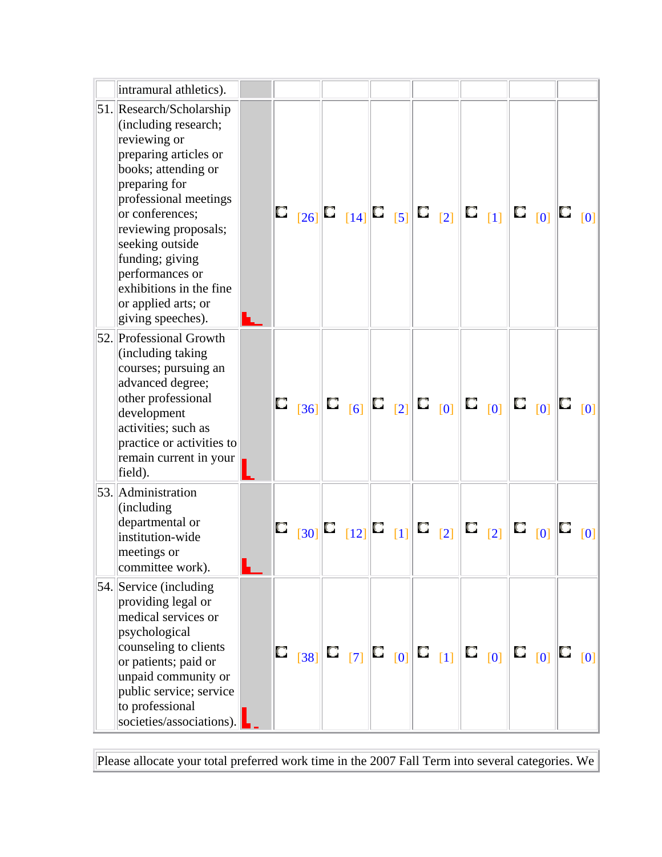| intramural athletics).                                                                                                                                                                                                                                                                                                                |  |                                                                                                                                                                                                                                                                                                                                                                                          |  |  |  |  |                    |                 |
|---------------------------------------------------------------------------------------------------------------------------------------------------------------------------------------------------------------------------------------------------------------------------------------------------------------------------------------|--|------------------------------------------------------------------------------------------------------------------------------------------------------------------------------------------------------------------------------------------------------------------------------------------------------------------------------------------------------------------------------------------|--|--|--|--|--------------------|-----------------|
| 51. Research/Scholarship<br>(including research;<br>reviewing or<br>preparing articles or<br>books; attending or<br>preparing for<br>professional meetings<br>or conferences;<br>reviewing proposals;<br>seeking outside<br>funding; giving<br>performances or<br>exhibitions in the fine<br>or applied arts; or<br>giving speeches). |  | $\begin{array}{ c c c c c }\n\hline\n\text{C} & \text{[26]} & \text{[14]} & \text{[5]} & \text{[6] } & \text{[7] } & \text{[8] } & \text{[9] } & \text{[16] } & \text{[17] } & \text{[18] } & \text{[19] } & \text{[19] } & \text{[10] } & \text{[10] } & \text{[11] } & \text{[16] } & \text{[17] } & \text{[18] } & \text{[19] } & \text{[19] } & \text{[10] } & \text{[10] } & \text$ |  |  |  |  |                    |                 |
| 52. Professional Growth<br>(including taking)<br>courses; pursuing an<br>advanced degree;<br>other professional<br>development<br>activities; such as<br>practice or activities to<br>remain current in your<br>field).                                                                                                               |  |                                                                                                                                                                                                                                                                                                                                                                                          |  |  |  |  |                    |                 |
| 53. Administration<br>(including)<br>departmental or<br>institution-wide<br>meetings or<br>committee work).                                                                                                                                                                                                                           |  |                                                                                                                                                                                                                                                                                                                                                                                          |  |  |  |  | $\Box_{\quad [0]}$ | $\Box$ $_{[0]}$ |
| 54. Service (including<br>providing legal or<br>medical services or<br>psychological<br>counseling to clients<br>or patients; paid or<br>unpaid community or<br>public service; service<br>to professional<br>societies/associations).                                                                                                |  |                                                                                                                                                                                                                                                                                                                                                                                          |  |  |  |  |                    |                 |

Please allocate your total preferred work time in the 2007 Fall Term into several categories. We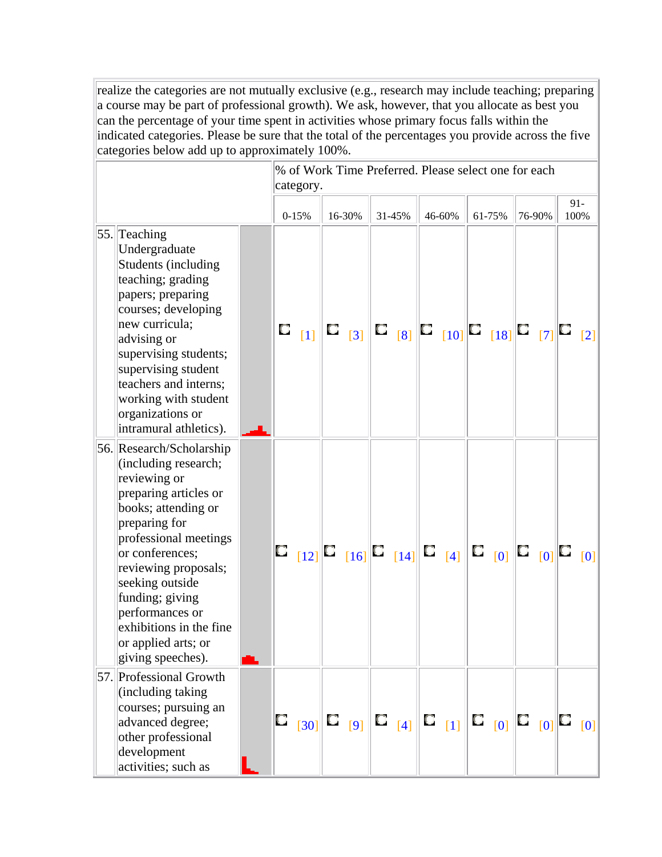realize the categories are not mutually exclusive (e.g., research may include teaching; preparing a course may be part of professional growth). We ask, however, that you allocate as best you can the percentage of your time spent in activities whose primary focus falls within the indicated categories. Please be sure that the total of the percentages you provide across the five categories below add up to approximately 100%.

|                                                                                                                                                                                                                                                                                                                                       |   | % of Work Time Preferred. Please select one for each<br>category. |                             |        |        |        |        |                   |
|---------------------------------------------------------------------------------------------------------------------------------------------------------------------------------------------------------------------------------------------------------------------------------------------------------------------------------------|---|-------------------------------------------------------------------|-----------------------------|--------|--------|--------|--------|-------------------|
|                                                                                                                                                                                                                                                                                                                                       |   | $0 - 15%$                                                         | 16-30%                      | 31-45% | 46-60% | 61-75% | 76-90% | $91 -$<br>100%    |
| 55. Teaching<br>Undergraduate<br>Students (including<br>teaching; grading<br>papers; preparing<br>courses; developing<br>new curricula;<br>advising or<br>supervising students;<br>supervising student<br>teachers and interns;<br>working with student<br>organizations or<br>intramural athletics).                                 | O | $\lceil 1 \rceil$                                                 | $\mathbf{C}_{\mathbf{[3]}}$ |        |        |        |        | $\lceil 2 \rceil$ |
| 56. Research/Scholarship<br>(including research;<br>reviewing or<br>preparing articles or<br>books; attending or<br>preparing for<br>professional meetings<br>or conferences;<br>reviewing proposals;<br>seeking outside<br>funding; giving<br>performances or<br>exhibitions in the fine<br>or applied arts; or<br>giving speeches). |   |                                                                   |                             |        |        |        |        |                   |
| 57. Professional Growth<br>(including taking)<br>courses; pursuing an<br>advanced degree;<br>other professional<br>development<br>activities; such as                                                                                                                                                                                 |   |                                                                   |                             |        |        |        |        | [0]               |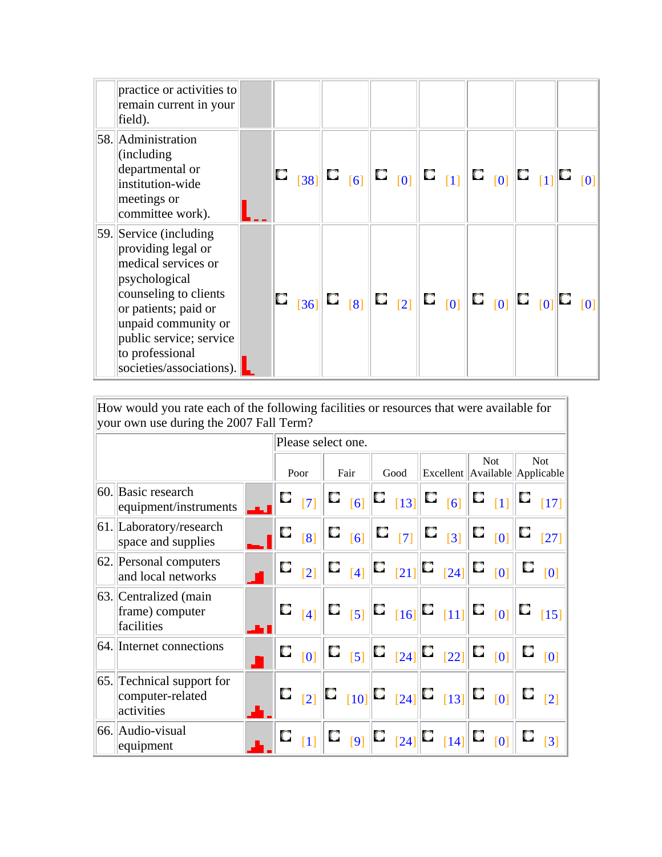| practice or activities to<br>remain current in your<br>field).                                                                                                                                                                            |  |                     |  |  |                                                                                                           |  |  |  |
|-------------------------------------------------------------------------------------------------------------------------------------------------------------------------------------------------------------------------------------------|--|---------------------|--|--|-----------------------------------------------------------------------------------------------------------|--|--|--|
| 58. Administration<br>(including)<br>departmental or<br>institution-wide<br>meetings or<br>committee work).                                                                                                                               |  |                     |  |  |                                                                                                           |  |  |  |
| $ 59 $ Service (including<br>providing legal or<br>medical services or<br>psychological<br>counseling to clients<br>or patients; paid or<br>unpaid community or<br>public service; service<br>to professional<br>societies/associations). |  | $\mathbb{E}_{[36]}$ |  |  | $\mathbf{C}_{-[8]} \mathbf{C}_{-[2]} \mathbf{C}_{[0]} \mathbf{C}_{[0]} \mathbf{C}_{[0]} \mathbf{C}_{[0]}$ |  |  |  |

How would you rate each of the following facilities or resources that were available for your own use during the 2007 Fall Term?

I

|                                                             |   | Please select one. |            |                                                                                                                                                                                                                                                         |                    |   |                    |                                                  |
|-------------------------------------------------------------|---|--------------------|------------|---------------------------------------------------------------------------------------------------------------------------------------------------------------------------------------------------------------------------------------------------------|--------------------|---|--------------------|--------------------------------------------------|
|                                                             |   | Poor               | Fair       | Good                                                                                                                                                                                                                                                    |                    |   | <b>Not</b>         | <b>Not</b><br>Excellent   Available   Applicable |
| 60. Basic research<br>equipment/instruments                 | U | [7]                |            | $\mathbf{C}_{\left[6\right]}$ $\mathbf{C}_{\left[13\right]}$ $\mathbf{C}_{\left[6\right]}$ $\mathbf{C}_{\left[1\right]}$                                                                                                                                |                    |   |                    | $\lceil 17 \rceil$                               |
| 61. Laboratory/research<br>space and supplies               | u | [8]                | $\Box$ [6] | $\mathbf{C}_{-[7]}$                                                                                                                                                                                                                                     | $\Box$ $[3]$       | Q | [0]                | $[27]$                                           |
| 62. Personal computers<br>and local networks                | O | $\lceil 2 \rceil$  | $\Box$ [4] | $\mathbf{C}_{[21]}$ $\mathbf{C}$                                                                                                                                                                                                                        | $\lceil 24 \rceil$ |   | $\Box_{\quad [0]}$ | [0]                                              |
| 63. Centralized (main<br>frame) computer<br>facilities      | О | [4]                |            | $\mathbf{C}_{[5]}$ $\mathbf{C}_{[16]}$ $\mathbf{C}_{[11]}$ $\mathbf{C}_{[0]}$                                                                                                                                                                           |                    |   |                    | $\lceil 15 \rceil$                               |
| 64. Internet connections                                    | u | [0]                |            |                                                                                                                                                                                                                                                         |                    |   | [0]                | [0]                                              |
| 65. Technical support for<br>computer-related<br>activities | O | $\lceil 2 \rceil$  |            | $\begin{bmatrix} \begin{bmatrix} 1 & 0 \end{bmatrix} & \begin{bmatrix} 1 & 0 \end{bmatrix} & \begin{bmatrix} 1 & 0 \end{bmatrix} \end{bmatrix} \begin{bmatrix} \begin{bmatrix} 1 & 0 \end{bmatrix} & \begin{bmatrix} 1 & 0 \end{bmatrix} \end{bmatrix}$ |                    |   |                    | $\lceil 2 \rceil$                                |
| 66. Audio-visual<br>equipment                               |   | [1]                | [9]        | $\mathbf{C}_{[24]}$ $\mathbf{C}$                                                                                                                                                                                                                        | $\lceil 14 \rceil$ | O | [0]                | $\lceil 3 \rceil$                                |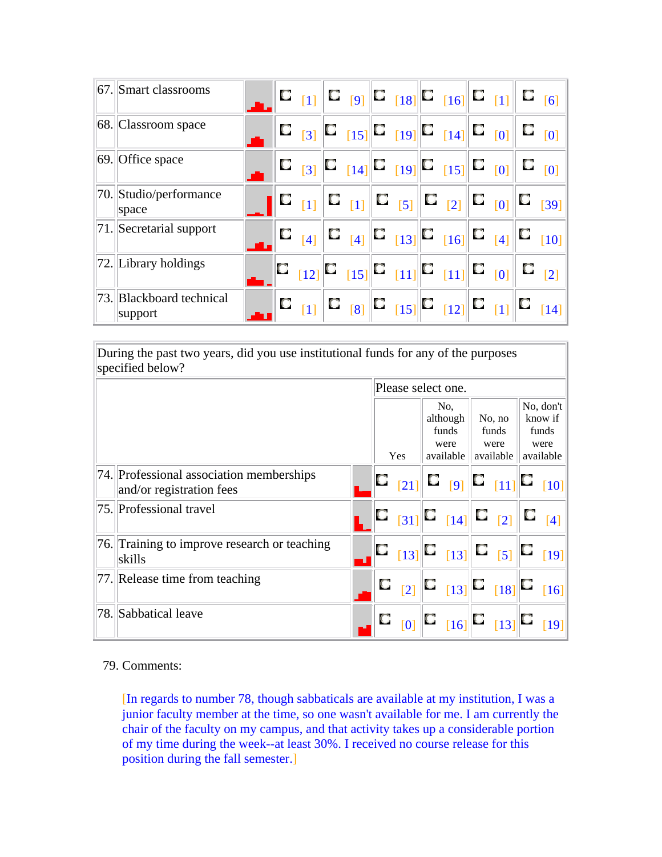| 67. Smart classrooms                |  |                         |  |  | $\begin{bmatrix} \begin{bmatrix} 1 \end{bmatrix} & \begin{bmatrix} 1 \end{bmatrix} & \begin{bmatrix} 1 \end{bmatrix} & \begin{bmatrix} 1 \end{bmatrix} & \begin{bmatrix} 1 \end{bmatrix} & \begin{bmatrix} 1 \end{bmatrix} & \begin{bmatrix} 1 \end{bmatrix} & \begin{bmatrix} 1 \end{bmatrix} & \begin{bmatrix} 1 \end{bmatrix} & \begin{bmatrix} 1 \end{bmatrix} & \begin{bmatrix} 1 \end{bmatrix} & \begin{bmatrix} 1 \end{bmatrix} & \begin{bmatrix} 1 \end{bmatrix} & \begin{bmatrix} 1 \end{bmatrix} & \begin{b$ |  |                                                                                              |
|-------------------------------------|--|-------------------------|--|--|------------------------------------------------------------------------------------------------------------------------------------------------------------------------------------------------------------------------------------------------------------------------------------------------------------------------------------------------------------------------------------------------------------------------------------------------------------------------------------------------------------------------|--|----------------------------------------------------------------------------------------------|
| 68. Classroom space                 |  |                         |  |  | $\mathbf{C}_{[3]}$ $\mathbf{C}_{[15]}$ $\mathbf{C}_{[19]}$ $\mathbf{C}_{[14]}$ $\mathbf{C}_{[0]}$ $\mathbf{C}_{[0]}$                                                                                                                                                                                                                                                                                                                                                                                                   |  |                                                                                              |
| 69. Office space                    |  |                         |  |  | $\mathbf{C}_{[3]}$ $\mathbf{C}_{[14]}$ $\mathbf{C}_{[19]}$ $\mathbf{C}_{[15]}$ $\mathbf{C}_{[0]}$ $\mathbf{C}_{[0]}$                                                                                                                                                                                                                                                                                                                                                                                                   |  |                                                                                              |
| 70. Studio/performance<br>space     |  |                         |  |  |                                                                                                                                                                                                                                                                                                                                                                                                                                                                                                                        |  |                                                                                              |
| 71. Secretarial support             |  | $\Box$ [4]              |  |  |                                                                                                                                                                                                                                                                                                                                                                                                                                                                                                                        |  | $\mathbb{E}_{[4]}[\mathbb{E}_{[13]}] \mathbb{E}_{[16]}[\mathbb{E}_{[4]}] \mathbb{E}_{[10]}]$ |
| $ 72.  $ Library holdings           |  |                         |  |  |                                                                                                                                                                                                                                                                                                                                                                                                                                                                                                                        |  |                                                                                              |
| 73. Blackboard technical<br>support |  | $\mathbf{u}_{\text{H}}$ |  |  | $\begin{bmatrix} \begin{bmatrix} 2 \\ 2 \end{bmatrix} & \begin{bmatrix} 3 \\ 2 \end{bmatrix} & \begin{bmatrix} 15 \\ 21 \end{bmatrix} \end{bmatrix} \begin{bmatrix} \begin{bmatrix} 1 \\ 21 \end{bmatrix} & \begin{bmatrix} 1 \\ 21 \end{bmatrix} \end{bmatrix}$                                                                                                                                                                                                                                                       |  | $\mathbb{C}$ $_{[14]}$                                                                       |

During the past two years, did you use institutional funds for any of the purposes specified below?

|                                                                      |   | Please select one. |               |                                                                                                                                                                                       |               |
|----------------------------------------------------------------------|---|--------------------|---------------|---------------------------------------------------------------------------------------------------------------------------------------------------------------------------------------|---------------|
|                                                                      |   |                    | No.           |                                                                                                                                                                                       | No, don't     |
|                                                                      |   |                    | although      | No, no                                                                                                                                                                                | know if       |
|                                                                      |   |                    | funds<br>were | funds<br>were                                                                                                                                                                         | funds<br>were |
|                                                                      |   | Yes                | available     | available                                                                                                                                                                             | available     |
| 74. Professional association memberships<br>and/or registration fees |   | $\vert 21 \vert$   |               | $\begin{bmatrix} 1 & 1 \end{bmatrix}$ $\begin{bmatrix} 0 & 11 \end{bmatrix}$ $\begin{bmatrix} 1 & 10 \end{bmatrix}$                                                                   |               |
| 75. Professional travel                                              |   |                    |               | $\begin{bmatrix} \Box &_{[31]} \end{bmatrix}$ $\begin{bmatrix} \Box &_{[14]} \end{bmatrix}$ $\begin{bmatrix} \Box &_{[2]} \end{bmatrix}$ $\begin{bmatrix} \Box &_{[4]} \end{bmatrix}$ |               |
| [76.] Training to improve research or teaching<br>skills             |   |                    |               |                                                                                                                                                                                       |               |
| [77.] Release time from teaching                                     | O |                    |               | $\mathbb{E}_{[2]} \mathbb{E}_{[13]} \mathbb{E}_{[18]} \mathbb{E}_{[16]} $                                                                                                             |               |
| 78. Sabbatical leave                                                 |   |                    |               | $\begin{bmatrix} 0 \end{bmatrix}$ $\begin{bmatrix} 0 \\ 16 \end{bmatrix}$ $\begin{bmatrix} 0 \\ 13 \end{bmatrix}$ $\begin{bmatrix} 19 \end{bmatrix}$                                  |               |

#### 79. Comments:

[In regards to number 78, though sabbaticals are available at my institution, I was a junior faculty member at the time, so one wasn't available for me. I am currently the chair of the faculty on my campus, and that activity takes up a considerable portion of my time during the week--at least 30%. I received no course release for this position during the fall semester.]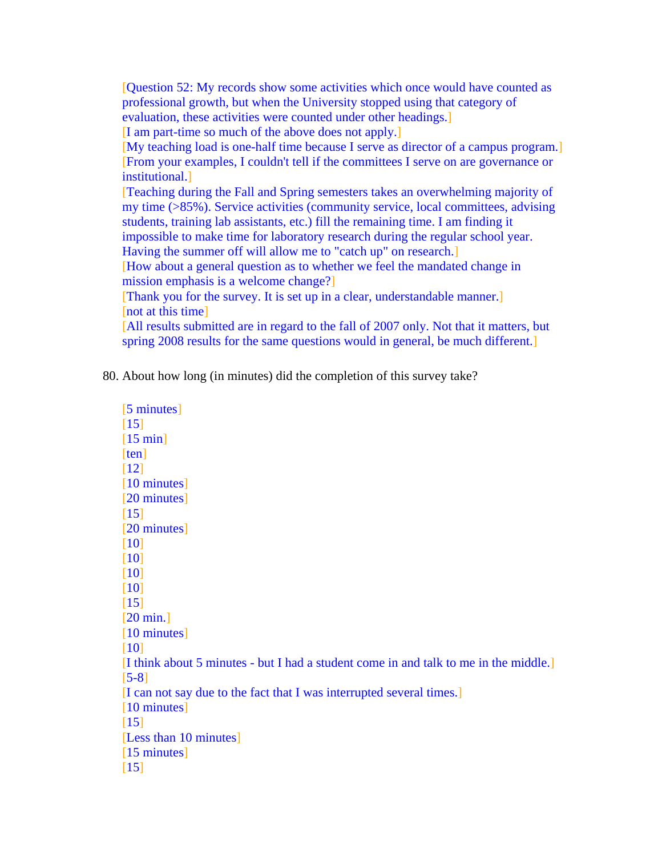[Question 52: My records show some activities which once would have counted as professional growth, but when the University stopped using that category of evaluation, these activities were counted under other headings.] [I am part-time so much of the above does not apply.] [My teaching load is one-half time because I serve as director of a campus program.] [From your examples, I couldn't tell if the committees I serve on are governance or institutional.] [Teaching during the Fall and Spring semesters takes an overwhelming majority of my time (>85%). Service activities (community service, local committees, advising students, training lab assistants, etc.) fill the remaining time. I am finding it impossible to make time for laboratory research during the regular school year. Having the summer off will allow me to "catch up" on research.] [How about a general question as to whether we feel the mandated change in mission emphasis is a welcome change?] [Thank you for the survey. It is set up in a clear, understandable manner.] [not at this time] [All results submitted are in regard to the fall of 2007 only. Not that it matters, but spring 2008 results for the same questions would in general, be much different.]

80. About how long (in minutes) did the completion of this survey take?

[5 minutes] [15]  $[15 \text{ min}]$ [ten] [12] [10 minutes] [20 minutes] [15] [20 minutes] [10] [10] [10] [10] [15] [20 min.] [10 minutes] [10] [I think about 5 minutes - but I had a student come in and talk to me in the middle.] [5-8] [I can not say due to the fact that I was interrupted several times.] [10 minutes] [15] [Less than 10 minutes] [15 minutes]  $\lceil 15 \rceil$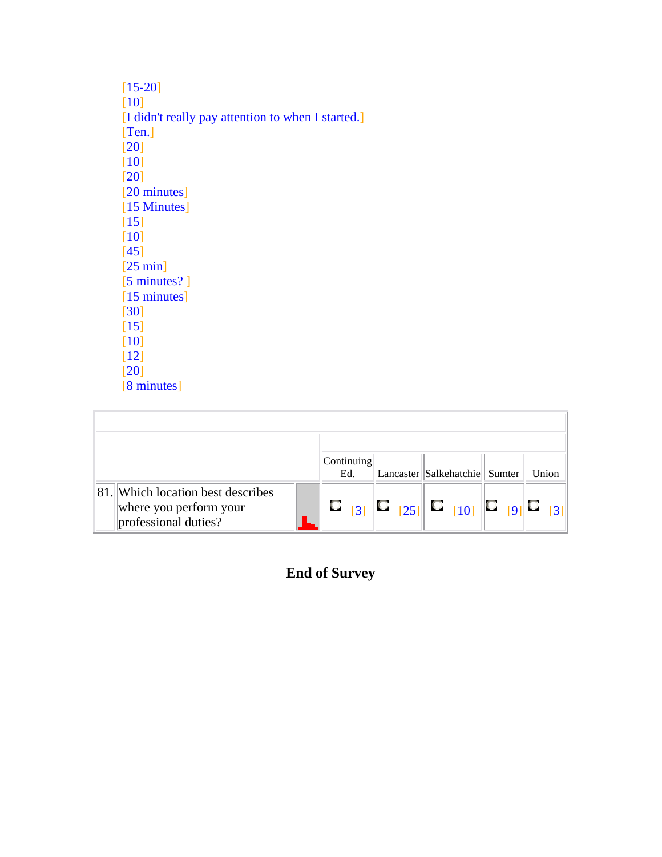| $[15-20]$                                          |
|----------------------------------------------------|
| [10]                                               |
| [I didn't really pay attention to when I started.] |
| [Ten.]                                             |
| [20]                                               |
| [10]                                               |
| [20]                                               |
| [20 minutes]                                       |
| [15 Minutes]                                       |
| [15]                                               |
| [10]                                               |
| [45]                                               |
| [25 min]                                           |
| $[5 \text{ minutes}$ ?]                            |
| $[15 \text{ minutes}]$                             |
| [30]                                               |
| $\lceil 15 \rceil$                                 |
| [10]                                               |
| [12]                                               |
| [20]                                               |
| [8 minutes]                                        |

|                                                                                     | Continuing<br>Ed. | Lancaster Salkehatchie Sumter                                                                                                                                                       | Union |
|-------------------------------------------------------------------------------------|-------------------|-------------------------------------------------------------------------------------------------------------------------------------------------------------------------------------|-------|
| 81. Which location best describes<br>where you perform your<br>professional duties? | $\lceil 3 \rceil$ | $\begin{bmatrix} 25 \end{bmatrix}$ $\begin{bmatrix} \mathbf{C} \\ 10 \end{bmatrix}$ $\begin{bmatrix} \mathbf{C} \\ 9 \end{bmatrix}$ $\begin{bmatrix} \mathbf{C} \\ 0 \end{bmatrix}$ |       |

**End of Survey**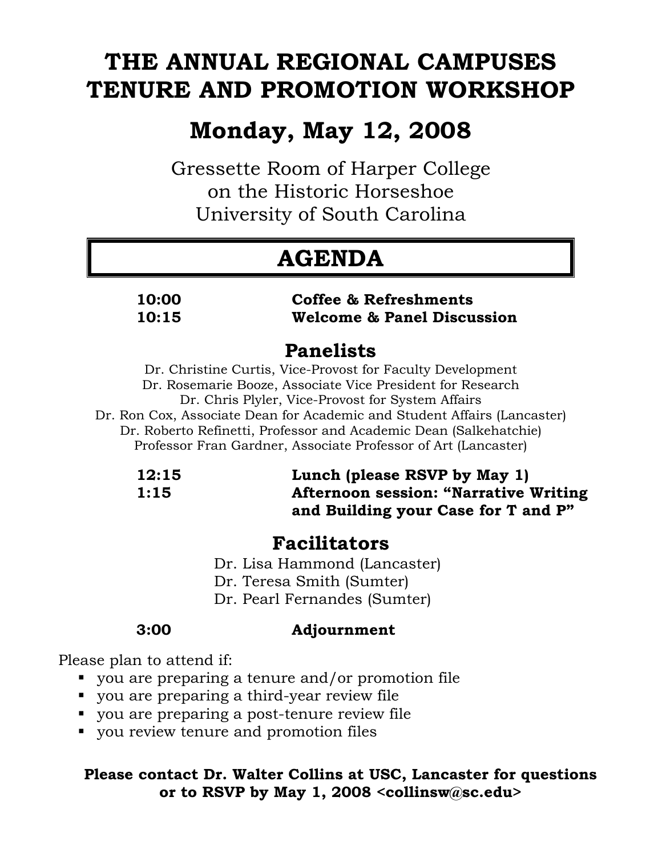# **THE ANNUAL REGIONAL CAMPUSES TENURE AND PROMOTION WORKSHOP**

# **Monday, May 12, 2008**

Gressette Room of Harper College on the Historic Horseshoe University of South Carolina

# **AGENDA**

#### **10:00 Coffee & Refreshments 10:15 Welcome & Panel Discussion**

## **Panelists**

Dr. Christine Curtis, Vice-Provost for Faculty Development Dr. Rosemarie Booze, Associate Vice President for Research Dr. Chris Plyler, Vice-Provost for System Affairs Dr. Ron Cox, Associate Dean for Academic and Student Affairs (Lancaster) Dr. Roberto Refinetti, Professor and Academic Dean (Salkehatchie) Professor Fran Gardner, Associate Professor of Art (Lancaster)

### **12:15 Lunch (please RSVP by May 1)**<br>1:15 **Afternoon session: "Narrative**"  **1:15 Afternoon session: "Narrative Writing and Building your Case for T and P"**

### **Facilitators**

Dr. Lisa Hammond (Lancaster)

Dr. Teresa Smith (Sumter)

Dr. Pearl Fernandes (Sumter)

### **3:00 Adjournment**

Please plan to attend if:

- you are preparing a tenure and/or promotion file
- you are preparing a third-year review file
- you are preparing a post-tenure review file
- vou review tenure and promotion files

### **Please contact Dr. Walter Collins at USC, Lancaster for questions or to RSVP by May 1, 2008 <collinsw@sc.edu>**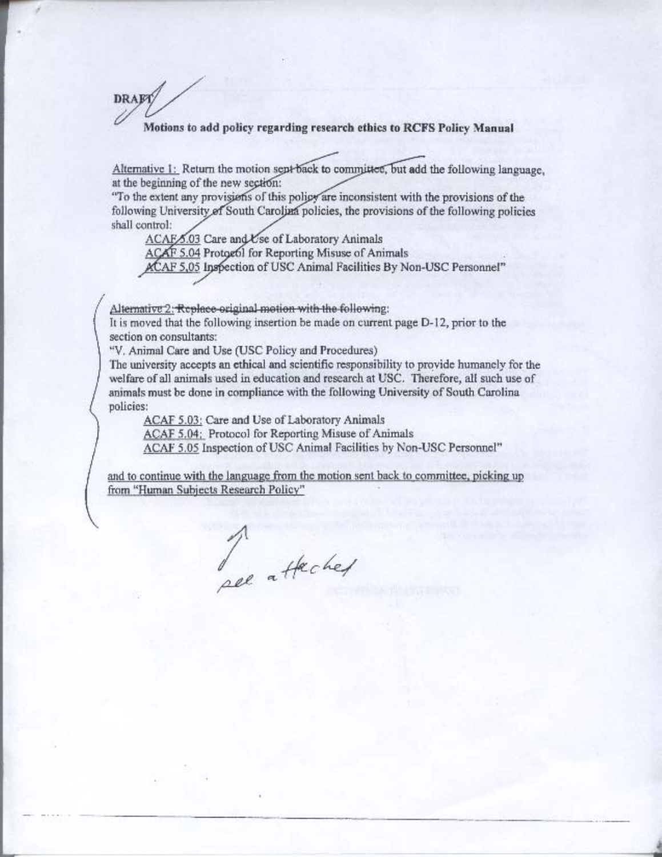Motions to add policy regarding research ethics to RCFS Policy Manual

Alternative 1: Return the motion sept back to committee, but add the following language, at the beginning of the new section:

"To the extent any provisions of this policy are inconsistent with the provisions of the following University of South Carolina policies, the provisions of the following policies shall control:

ACAF 6.03 Care and Use of Laboratory Animals

ACAF 5.04 Protogol for Reporting Misuse of Animals

ACAF 5.05 Inspection of USC Animal Facilities By Non-USC Personnel"

Alternative 2: Replace original motion with the following:

It is moved that the following insertion be made on current page D-12, prior to the section on consultants:

"V. Animal Care and Use (USC Policy and Procedures)

**DRAFT** 

The university accepts an ethical and scientific responsibility to provide humanely for the welfare of all animals used in education and research at USC. Therefore, all such use of animals must be done in compliance with the following University of South Carolina policies:

ACAF 5.03: Care and Use of Laboratory Animals

ACAF 5.04: Protocol for Reporting Misuse of Animals

ACAF 5.05 Inspection of USC Animal Facilities by Non-USC Personnel"

and to continue with the language from the motion sent back to committee, picking up from "Human Subjects Research Policy"

Jee attached